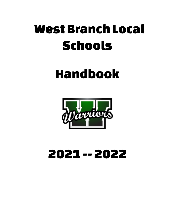# West Branch Local Schools

## Handbook



## 2021-- 2022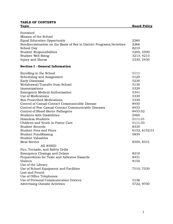#### TABLE OF CONTENTS Topic Board Policy

| Foreword                                                              |               |
|-----------------------------------------------------------------------|---------------|
| Mission of the School                                                 |               |
| <b>Equal Education Opportunity</b>                                    | 2260          |
| Nondiscrimination on the Basis of Sex in District Programs/Activities | 2266          |
| School Day                                                            | 8210          |
| <b>Student Responsibilities</b>                                       | 5200, 5500    |
| Student Well Being                                                    | 3213, 4213    |
| Injury and Illness                                                    | 5330, 5430    |
| <b>Section I - General Information</b>                                |               |
| Enrolling in the School                                               | 5111          |
| Scheduling and Assignment                                             | 5120          |
| Early Dismissal                                                       | 5230          |
| Withdrawal/Transfer from School                                       | 5130          |
| Immunizations                                                         | 5320          |
| <b>Emergency Medical Authorization</b>                                | 5341          |
| Use of Medications                                                    | 5330          |
| Non Prescribed Medications                                            | 5330          |
| Control of Casual-Contact Communicable Disease                        | 8450          |
| Control of Non Casual-Contact Communicable Diseases                   | 8453          |
| Control of Blood-Borne Pathogens                                      | 8453.02       |
| <b>Students with Disabilities</b>                                     | 2460          |
| Homeless Students                                                     | 5111.01       |
| Children and Youth in Foster Care                                     | 5111.03       |
| <b>Student Records</b>                                                | 8330          |
| <b>Student Fees and Fines</b>                                         | 6152, 6152.01 |
| <b>Student FundRaising</b>                                            | 5830          |
| <b>Student Valuables</b>                                              |               |
| <b>Meal Service</b>                                                   | 8500, 8531    |
| <b>AG 8500D</b>                                                       |               |
| Fire, Tornado, and Safety Drills                                      |               |
| <b>Emergency Closings and Delays</b>                                  | 8210          |
| Preparedness for Toxic and Asbestos Hazards                           | 8431          |
| <b>Visitors</b>                                                       | 9150          |
| Use of the Library                                                    |               |
| Use of School Equipment and Facilities                                | 7510, 7530    |
| Lost and Found                                                        |               |
| Use of Office Telephones                                              |               |
| Use of Personal Communication Devices                                 | 5136          |
| <b>Advertising Outside Activities</b>                                 | 5722, 9700    |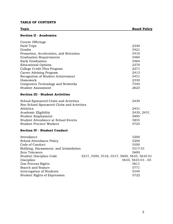#### TABLE OF CONTENTS

### Topic Board Policy

#### Section II - Academics

| Course Offerings                       |      |
|----------------------------------------|------|
| Field Trips                            | 2340 |
| Grades                                 | 5421 |
| Promotion, Acceleration, and Retention | 5410 |
| <b>Graduation Requirements</b>         | 5460 |
| Early Graduation                       | 5464 |
| <b>Educational Options</b>             | 2370 |
| College Credit Plus Program            | 2271 |
| Career Advising Program                | 2413 |
| Recognition of Student Achievement     | 5451 |
| Homework                               | 2330 |
| Computers Technology and Networks      | 7540 |
| Student Assessment                     | 2623 |

#### Section III - Student Activities

| School-Sponsored Clubs and Activities     | 2430       |
|-------------------------------------------|------------|
| Non School-Sponsored Clubs and Activities |            |
| Athletics                                 | 2431       |
| Academic Eligibility                      | 2430, 2431 |
| Student Employment                        | 5895       |
| Student Attendance at School Events       | 5855       |
| <b>Student Precinct Workers</b>           | 5725       |

#### Section IV - Student Conduct

| Attendance                             | 5200                                        |
|----------------------------------------|---------------------------------------------|
| School Attendance Policy               | 5200                                        |
| Code of Conduct                        | 5500                                        |
| Bullying, Harassment, and Intimidation | 5517.01                                     |
| Zero Tolerance                         | 5600                                        |
| Student Discipline Code                | 3217, 5500, 5516, 5517, 5600, 5610, 5610.01 |
| Discipline                             | 5610, 5610.01 - .05                         |
| Due Process Rights                     | 5611                                        |
| Search and Seizure                     | 5771                                        |
| Interrogation of Students              | 5540                                        |
| Student Rights of Expression           | 5722                                        |
|                                        |                                             |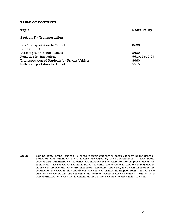#### TABLE OF CONTENTS

| <b>Topic</b>                                  | <b>Board Policy</b> |
|-----------------------------------------------|---------------------|
| <b>Section V - Transportation</b>             |                     |
| Bus Transportation to School                  | 8600                |
| <b>Bus Conduct</b>                            |                     |
| Videotapes on School Buses                    | 8600                |
| Penalties for Infractions                     | 5610, 5610.04       |
| Transportation of Students by Private Vehicle | 8660                |
| Self-Transportation to School                 | 5515                |

| <b>NOTE:</b> | This Student/Parent Handbook is based in significant part on policies adopted by the Board of    |
|--------------|--------------------------------------------------------------------------------------------------|
|              | Education and Administrative Guidelines developed by the Superintendent. Those Board             |
|              | Policies and Administrative Guidelines are incorporated by reference into the provisions of this |
|              | Handbook. The Policies and Administrative Guidelines are periodically updated in response to     |
|              | changes in the law and other circumstances. Therefore, there may have been changes to the        |
|              | documents reviewed in this Handbook since it was printed in <b>August 2021.</b> If you have      |
|              | questions or would like more information about a specific issue or document, contact your        |
|              | school principal or access the document on the District's website: Westbranch.k12.oh.us          |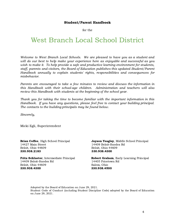#### Student/Parent Handbook

for the

### West Branch Local School District

Welcome to West Branch Local Schools. We are pleased to have you as a student and will do our best to help make your experience here as enjoyable and successful as you wish to make it. To help provide a safe and productive learning environment for students, staff, parents and visitors, the Board of Education publishes this updated Student/Parent Handbook annually to explain students' rights, responsibilities and consequences for misbehavior.

Parents are encouraged to take a few minutes to review and discuss the information in this Handbook with their school-age children. Administration and teachers will also review this Handbook with students at the beginning of the school year.

Thank you for taking the time to become familiar with the important information in this Handbook. If you have any questions, please feel free to contact your building principal. The contacts to the building principals may be found below.

Sincerely,

Micki Egli, Superintendent

14427 Main Street 14409 Beloit-Snodes Rd Beloit, Ohio 44609 Beloit, Ohio 44609 330.938.2183 330.938.4300

14409 Beloit-Snodes Rd 14405 Pricetown Rd Beloit, Ohio 44609 Salem, Ohio 330.938.4300 330.938.4500

**Brian Coffee**, High School Principal **Jayson Yeagley**, Middle School Principal

**Fritz Schlueter, Intermediate Principal Robert Graham, Early Learning Principal** 

Adopted by the Board of Education on June 29, 2021. Student Code of Conduct (including Student Discipline Code) adopted by the Board of Education on June 29, 2021.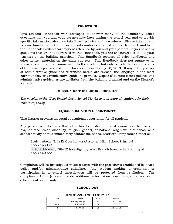#### FOREWORD

This Student Handbook was developed to answer many of the commonly asked questions that you and your parents may have during the school year and to provide specific information about certain Board policies and procedures. Please take time to become familiar with the important information contained in this Handbook and keep the Handbook available for frequent reference by you and your parents. If you have any questions that are not addressed in this Handbook, you are encouraged to talk to your teachers or the building principal. This Handbook replaces all prior handbooks and other written material on the same subjects. This Handbook does not equate to an irrevocable contractual commitment to the student, but only reflects the current status of the Board's policies and the School's rules as of July 18, 2019. If any of the policies or administrative guidelines referenced herein are revised, the language in the most current policy or administrative guideline prevails. Copies of current Board policies and administrative guidelines are available from the building principal and on the District's web site.

#### MISSION OF THE SCHOOL DISTRICT

The mission of the West Branch Local School District is to prepare all students for their tomorrow, today.

#### EQUAL EDUCATION OPPORTUNITY

This District provides an equal educational opportunity for all students.

Any person who believes that s/he has been discriminated against on the basis of his/her race, color, disability, religion, gender, or national origin while at school or a school activity should immediately contact the School District's Compliance Officer(s):

Evelyn Woods, Title IX Coordinator/Assistant High School Principal 330-938-2183 Fritz [Schlueter](mailto:fritz.schlueter@wbwarriors.org) , Title IX Investigator/ West Branch Intermediate Principal 330-938-4300

Complaints will be investigated in accordance with the procedures established by board policy and/or administrative guidelines. Any student making a complaint or participating in a school investigation will be protected from retaliation. The Compliance Officer(s) can provide additional information concerning equal access to educational opportunity.

#### SCHOOL DAY

#### **HIGH SCHOOL – REGULAR SCHEDULE**

| <b>PER</b> | <b>TIMES</b>         | <b>PER</b> | <b>TIMES</b> |
|------------|----------------------|------------|--------------|
|            | Warning Bell $@7:27$ | 5b         | 11:08-11:30  |
| 1/HR       | $7:30 - 8:17$        | <b>6a</b>  | 11:33-11:55  |
|            | $8:20-9:05$          | 6b         | 12:57-12:19  |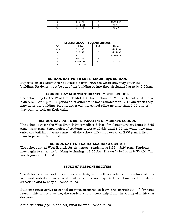| 9:08-9:53   | 12:22-1:07 |
|-------------|------------|
| 9:56-10:41  | 1:10-1:55  |
| 10:44-11:06 | 1:58-2:45  |

| <b>PER</b> | <b>TIMES</b>  | <b>PER</b> | <b>TIMES</b> |
|------------|---------------|------------|--------------|
| Arrival    | 7:15-7:30     |            | 11:13-11:53  |
|            | $7:38-8:18$   |            | 11:56-12:36  |
|            | 8:21-9:01     |            | 12:39-1:19   |
|            | $9:04 - 9:44$ |            | $1:22-2:02$  |
|            | $9:47-10:27$  | 10         | 2:05-2:45    |
|            | 10:30-11:10   |            |              |

#### SCHOOL DAY FOR WEST BRANCH High SCHOOL

Supervision of students is not available until 7:00 am when they may enter the building. Students must be out of the building or into their designated area by 2:55pm.

#### SCHOOL DAY FOR WEST BRANCH Middle SCHOOL

The school day for the West Branch Middle School School for Middle School students is 7:30 a.m. - 2:45 p.m. Supervision of students is not available until 7:15 am when they may enter the building. Parents must call the school office no later than 2:00 p.m. if they plan to pick-up their child.

#### SCHOOL DAY FOR WEST BRANCH INTERMEDIATE SCHOOL

The school day for the West Branch Intermediate School for elementary students is 8:45 a.m. - 3:30 p.m. Supervision of students is not available until 8:20 am when they may enter the building. Parents must call the school office no later than 2:00 p.m. if they plan to pick-up their child.

#### SCHOOL DAY FOR EARLY LEARNING CENTER

The school day at West Branch for elementary students is 8:55 – 3:20 p.m. Students may begin to enter the building beginning at 8:25 AM. The tardy bell is at 8:55 AM. Car line begins at 3:15 PM.

#### STUDENT RESPONSIBILITIES

The School's rules and procedures are designed to allow students to be educated in a safe and orderly environment. All students are expected to follow staff members' directions and to obey all school rules.

Students must arrive at school on time, prepared to learn and participate. If, for some reason, this is not possible, the student should seek help from the Principal or his/her designee.

Adult students (age 18 or older) must follow all school rules.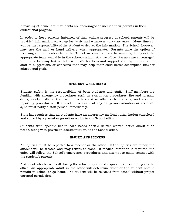If residing at home, adult students are encouraged to include their parents in their educational program.

In order to keep parents informed of their child's progress in school, parents will be provided information on a regular basis and whenever concerns arise. Many times it will be the responsibility of the student to deliver the information. The School, however, may use the mail or hand delivery when appropriate. Parents have the option of receiving communication from the School via email and/or facsimile by filling out the appropriate form available in the school's administrative office. Parents are encouraged to build a two-way link with their child's teachers and support staff by informing the staff of suggestions or concerns that may help their child better accomplish his/her educational goals.

#### STUDENT WELL BEING

Student safety is the responsibility of both students and staff. Staff members are familiar with emergency procedures such as evacuation procedures, fire and tornado drills, safety drills in the event of a terrorist or other violent attack, and accident reporting procedures. If a student is aware of any dangerous situation or accident, s/he must notify a staff person immediately.

State law requires that all students have an emergency medical authorization completed and signed by a parent or guardian on file in the School office.

Students with specific health care needs should deliver written notice about such needs, along with physician documentation, to the School office.

#### INJURY AND ILLNESS

All injuries must be reported to a teacher or the office. If the injuries are minor, the student will be treated and may return to class. If medical attention is required, the office will follow the School's emergency procedures and attempt to make contact with the student's parents.

A student who becomes ill during the school day should request permission to go to the office. An appropriate adult in the office will determine whether the student should remain in school or go home. No student will be released from school without proper parental permission.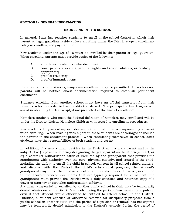#### SECTION I - GENERAL INFORMATION

#### ENROLLING IN THE SCHOOL

In general, State law requires students to enroll in the school district in which their parent or legal guardian reside unless enrolling under the District's open enrollment policy or enrolling and paying tuition.

New students under the age of 18 must be enrolled by their parent or legal guardian. When enrolling, parents must provide copies of the following:

- A. a birth certificate or similar document
- B. court papers allocating parental rights and responsibilities, or custody (if appropriate)
- C. proof of residency
- D. proof of immunizations

Under certain circumstances, temporary enrollment may be permitted. In such cases, parents will be notified about documentation required to establish permanent enrollment.

Students enrolling from another school must have an official transcript from their previous school in order to have credits transferred. The principal or his designee will assist in obtaining the transcript, if not presented at the time of enrollment.

Homeless students who meet the Federal definition of homeless may enroll and will be under the District Liaison Homeless Children with regard to enrollment procedures.

New students 18 years of age or older are not required to be accompanied by a parent when enrolling. When residing with a parent, these students are encouraged to include the parents in the enrollment process. When conducting themselves in school, adult students have the responsibilities of both student and parent.

In addition, if a new student resides in the District with a grandparent and is the subject of a: (1) power of attorney designating the grandparent as the attorney-if-fact; or (2) a caretaker authorization affidavit executed by the grandparent that provides the grandparent with authority over the care, physical custody, and control of the child, including the ability to enroll the child in school, consent in all school related matters, and discuss with the District the child's educational progress, the student's grandparent may enroll the child in school on a tuition-free basis. However, in addition to the above-referenced documents that are typically required for enrollment, the grandparent must provide the District with a duly executed and notarized copy of a power of attorney or caretaker authorization affidavit.

A student suspended or expelled by another public school in Ohio may be temporarily denied admission to the District's schools during the period of suspension or expulsion even if that student would otherwise be entitled to attend school in the District. Likewise, a student expelled or otherwise removed for disciplinary purposes from a public school in another state and the period of expulsion or removal has not expired may be temporarily denied admission to the District's schools during the period of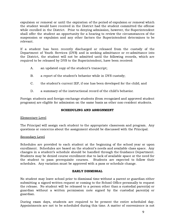expulsion or removal or until the expiration of the period of expulsion or removal which the student would have received in the District had the student committed the offense while enrolled in the District. Prior to denying admission, however, the Superintendent shall offer the student an opportunity for a hearing to review the circumstances of the suspension or expulsion and any other factors the Superintendent determines to be relevant.

If a student has been recently discharged or released from the custody of the Department of Youth Services (DYS) and is seeking admittance or re-admittance into the District, the student will not be admitted until the following records, which are required to be released by DYS to the Superintendent, have been received:

- A. an updated copy of the student's transcript;
- B. a report of the student's behavior while in DYS custody;
- C. the student's current IEP, if one has been developed for the child; and
- D. a summary of the instructional record of the child's behavior.

Foreign students and foreign-exchange students (from recognized and approved student programs) are eligible for admission on the same basis as other non-resident students.

#### SCHEDULING AND ASSIGNMENT

#### Elementary Level

The Principal will assign each student to the appropriate classroom and program. Any questions or concerns about the assignment should be discussed with the Principal.

#### Secondary Level

Schedules are provided to each student at the beginning of the school year or upon enrollment. Schedules are based on the student's needs and available class space. Any changes in a student's schedule should be handled through the Guidance Department. Students may be denied course enrollment due to lack of available space or the need for the student to pass prerequisite courses. Students are expected to follow their schedules. Any variation must be approved with a pass or schedule change.

#### EARLY DISMISSAL

No student may leave school prior to dismissal time without a parent or guardian either submitting a signed written request or coming to the School Office personally to request the release. No student will be released to a person other than a custodial parent(s) or guardian without a written permission note signed by the custodial parent(s) or guardian.

During exam days, students are required to be present the entire scheduled day. Appointments are not to be scheduled during this time. A matter of convenience is not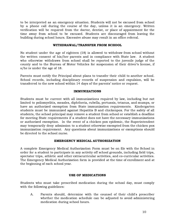to be interpreted as an emergency situation. Students will not be excused from school by a phone call during the course of the day, unless it is an emergency. Written verification will be required from the doctor, dentist, or place of appointment for the time away from school to be excused. Students are discouraged from leaving the building during school hours. Excessive abuse may result in an office referral.

#### WITHDRAWAL/TRANSFER FROM SCHOOL

No student under the age of eighteen (18) is allowed to withdraw from school without the written consent of his/her parents and in compliance with State law. A student who otherwise withdraws from school shall be reported to the juvenile judge of the county and to the Bureau of Motor Vehicles for suspension of their driver's license, if s/he is under the age of 18.

Parents must notify the Principal about plans to transfer their child to another school. School records, including disciplinary records of suspension and expulsion, will be transferred to the new school within 14 days of the parents' notice or request.

#### IMMUNIZATIONS

Students must be current with all immunizations required by law, including but not limited to poliomyelitis, measles, diphtheria, rubella, pertussis, tetanus, and mumps, or have an authorized exemption from State immunization requirements. Kindergarten students must be immunized against Hepatitis B and chickenpox. For the safety of all students, the school principal may remove a student from school or establish a deadline for meeting State requirements if a student does not have the necessary immunizations or authorized exemption. In the event of a chicken pox epidemic, the Superintendent may temporarily deny admission to a student otherwise exempted from the chicken pox immunization requirement. Any questions about immunizations or exemptions should be directed to the school nurse.

#### EMERGENCY MEDICAL AUTHORIZATION

A complete Emergency Medical Authorization Form must be on file with the School in order for a student to participate in any activity off school grounds, including field trips, spectator trips, athletic and other extracurricular activities, and co-curricular activities. The Emergency Medical Authorization form is provided at the time of enrollment and at the beginning of each school year.

#### USE OF MEDICATIONS

Students who must take prescribed medication during the school day, must comply with the following guidelines:

A. Parents should, determine with the counsel of their child's prescriber whether the medication schedule can be adjusted to avoid administering medication during school hours.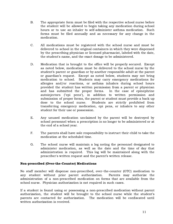- B. The appropriate form must be filed with the respective school nurse before the student will be allowed to begin taking any medication during school hours or to use an inhaler to self-administer asthma medication. Such forms must be filed annually and as necessary for any change in the medication.
- C. All medications must be registered with the school nurse and must be delivered to school in the original containers in which they were dispensed by the prescribing physician or licensed pharmacist, labeled with the date, the student's name, and the exact dosage to be administered.
- D. Medication that is brought to the office will be properly secured. Except as noted below, medication must be delivered to the school nurse by the student's parent or guardian or by another responsible adult at the parent or guardian's request. Except as noted below, students may not bring medication to school. Students may carry emergency medications for allergies and/or reactions, or asthma inhalers during school hours provided the student has written permission from a parent or physician and has submitted the proper forms. In the case of epinephrine autoinjectors ("epi pens"), in addition to written permission and submission of proper forms, the parent or student must provide a back up dose to the school nurse. Students are strictly prohibited from transferring emergency medication, epi pens, or inhalers to any other student for their use or possession.
- E. Any unused medication unclaimed by the parent will be destroyed by school personnel when a prescription is no longer to be administered or at the end of a school year.
- F. The parents shall have sole responsibility to instruct their child to take the medication at the scheduled time.
- G. The school nurse will maintain a log noting the personnel designated to administer medication, as well as the date and the time of day that administration is required. This log will be maintained along with the prescriber's written request and the parent's written release.

#### Non-prescribed (Over-the-Counter) Medications

No staff member will dispense non-prescribed, over-the-counter (OTC) medication to any student without prior parent authorization. Parents may authorize the administration of a non-prescribed medication on forms that are available from the school nurse. Physician authorization is not required in such cases.

If a student is found using or possessing a non-prescribed medication without parent authorization, the student will be brought to the school nurse while the student's parents are contacted for authorization. The medication will be confiscated until written authorization is received.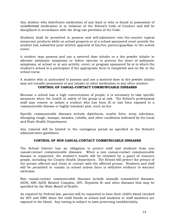Any student who distributes medication of any kind or who is found in possession of unauthorized medication is in violation of the School's Code of Conduct and will be disciplined in accordance with the drug-use provision of the Code.

Students shall be permitted to possess and self-administer over-the-counter topical sunscreen products while on school property or at a school-sponsored event provide the student has submitted prior written approval of his/her parent/guardian to the school nurse.

A student may possess and use a metered dose inhaler or a dry powder inhaler to alleviate asthmatic symptoms or before exercise to prevent the onset of asthmatic symptoms, at school or at any activity, event, or program sponsored by or in which the student's school is a participant if the appropriate form is completed and on file in the school nurse.

A student who is authorized to possess and use a metered dose or dry powder inhaler may not transfer possession of any inhaler or other medication to any other student.

#### CONTROL OF CASUAL-CONTACT COMMUNICABLE DISEASES

Because a school has a high concentration of people, it is necessary to take specific measures when the health or safety of the group is at risk. The School's professional staff may remove or isolate a student who has been ill or has been exposed to a communicable disease or highly-transient pest, such as lice.

Specific communicable diseases include diphtheria, scarlet fever, strep infections, whooping cough, mumps, measles, rubella, and other conditions indicated by the Local and State Health Departments.

Any removal will be limited to the contagious period as specified in the School's administrative guidelines.

#### CONTROL OF NON CASUAL-CONTACT COMMUNICABLE DISEASES

The School District has an obligation to protect staff and students from non casual-contact communicable diseases. When a non casual-contact communicable disease is suspected, the student's health will be reviewed by a panel of resource people, including the County Health Department. The School will protect the privacy of the person affected and those in contact with the affected person. Students and staff will be permitted to remain in school unless there is definitive evidence to warrant exclusion.

Non casual-contact communicable diseases include sexually transmitted diseases, AIDS, ARC-AIDS Related Complex, HIV, Hepatitis B, and other diseases that may be specified by the State Board of Health.

As required by Federal law, parents will be requested to have their child's blood checked for HIV and HBV when the child bleeds at school and students or staff members are exposed to the blood. Any testing is subject to laws protecting confidentiality.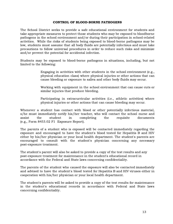#### CONTROL OF BLOOD-BORNE PATHOGENS

The School District seeks to provide a safe educational environment for students and take appropriate measures to protect those students who may be exposed to bloodborne pathogens in the school environment and/or during their participation in school-related activities. While the risks of students being exposed to blood-borne pathogens may be low, students must assume that all body fluids are potentially infectious and must take precautions to follow universal procedures in order to reduce such risks and minimize and/or prevent the potential for accidental infection.

Students may be exposed to blood-borne pathogens in situations, including, but not limited to the following:

> Engaging in activities with other students in the school environment (e.g., physical education class) where physical injuries or other actions that can cause bleeding or exposure to saliva and other body fluids may occur.

> Working with equipment in the school environment that can cause cuts or similar injuries that produce bleeding.

> Participating in extracurricular activities (i.e., athletic activities) where physical injuries or other actions that can cause bleeding may occur.

Whenever a student has contact with blood or other potentially infectious material, s/he must immediately notify his/her teacher, who will contact the school nurse and assist the student in completing the requisite documents (e.g., Form 8453.02 F1 Exposure Report).

The parents of a student who is exposed will be contacted immediately regarding the exposure and encouraged to have the student's blood tested for Hepatitis B and HIV either by his/her physician or your local health department. The student's parents are encouraged to consult with the student's physician concerning any necessary post-exposure treatment.

The student's parent will also be asked to provide a copy of the test results and any post-exposure treatment for maintenance in the student's educational record in accordance with the Federal and State laws concerning confidentiality.

The parents of the student who caused the exposure will also be contacted immediately and advised to have the student's blood tested for Hepatitis B and HIV viruses either in cooperation with his/her physician or your local health department.

The student's parents will be asked to provide a copy of the test results for maintenance in the student's educational records in accordance with Federal and State laws concerning confidentiality.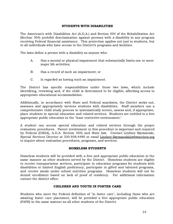#### STUDENTS WITH DISABILITIES

The American's with Disabilities Act (A.D.A.) and Section 504 of the Rehabilitation Act (Section 504) prohibit discrimination against persons with a disability in any program receiving Federal financial assistance. This protection applies not just to students, but to all individuals who have access to the District's programs and facilities.

The laws define a person with a disability as anyone who:

- A. Has a mental or physical impairment that substantially limits one or more major life activities;
- B. Has a record of such an impairment; or
- C. Is regarded as having such an impairment.

The District has specific responsibilities under these two laws, which include identifying, reviewing and, if the child is determined to be eligible, affording access to appropriate educational accommodation.

Additionally, in accordance with State and Federal mandates, the District seeks out, assesses and appropriately services students with disabilities. Staff members use a comprehensive child study process to systematically screen, assess and, if appropriate, place students in special education and related services. Students are entitled to a free appropriate public education in the "least restrictive environment."

A student can access special education and related services through the proper evaluation procedures. Parent involvement in this procedure is important and required by Federal (IDEIA), A.D.A. Section 504) and State law. Contact Lindsey Szymanski, Special Services Director at 330.938.4490 or email Lindsey.Szymanski@wbwarriors.org to inquire about evaluation procedures, programs, and services.

#### HOMELESS STUDENTS

Homeless students will be provided with a free and appropriate public education in the same manner as other students served by the District. Homeless students are eligible to receive transportation services, participate in education programs for students with disabilities or limited English proficiency, participate in gifted and talented programs, and receive meals under school nutrition programs. Homeless students will not be denied enrollment based on lack of proof of residency. For additional information contact the district office.

#### CHILDREN AND YOUTH IN FOSTER CARE

Students who meet the Federal definition of "in foster care", including those who are awaiting foster care placement, will be provided a free appropriate public education (FAPE) in the same manner as all other students of the District.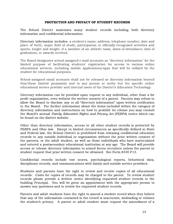#### PROTECTION AND PRIVACY OF STUDENT RECORDS

The School District maintains many student records including both directory information and confidential information.

Directory information includes: a student's name; address; telephone number; date and place of birth; major field of study; participation in officially-recognized activities and sports; height and weight, if a member of an athletic team; dates of attendance; date of graduation; or awards received.

The Board designates school-assigned e-mail accounts as "directory information" for the limited purpose of facilitating students' registration for access to various online educational services, including mobile applications/apps that will be utilized by the student for educational purposes.

School-assigned email accounts shall not be released as directory information beyond this/these limited purpose(s) and to any person or entity but the specific online educational service provider and internal users of the District's Education Technology.

Directory information can be provided upon request to any individual, other than a for profit organization, even without the written consent of a parent. Parents may refuse to allow the Board to disclose any or all "directory information" upon written notification to the Board. For further information about the items included within the category of directory information and instructions on how to prohibit its release you may consult the Board's annual Family Education Rights and Privacy Act (FERPA) notice which can be found on the district website.

Other than directory information, access to all other student records is protected by FERPA and Ohio law. Except in limited circumstances as specifically defined in State and Federal law, the School District is prohibited from releasing confidential education records to any outside individual or organization without the prior written consent of the parents, or the adult student, as well as those individuals who have matriculated and entered a postsecondary educational institution at any age. The Board will provide access or release directory information to armed forces recruiters unless the parent or student request that prior written consent be obtained. See Form 8330 F13.

Confidential records include test scores, psychological reports, behavioral data, disciplinary records, and communications with family and outside service providers.

Students and parents have the right to review and receive copies of all educational records. Costs for copies of records may be charged to the parent. To review student records please provide a written notice identifying requested student records to the building Principal. You will be given an appointment with the appropriate person to answer any questions and to review the requested student records.

Parents and adult students have the right to amend a student record when they believe that any of the information contained in the record is inaccurate, misleading or violates the student's privacy. A parent or adult student must request the amendment of a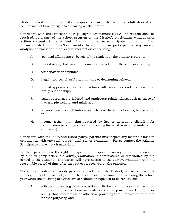student record in writing and if the request is denied, the parent or adult student will be informed of his/her right to a hearing on the matter.

Consistent with the Protection of Pupil Rights Amendment (PPRA), no student shall be required, as a part of the school program or the District's curriculum, without prior written consent of the student (if an adult, or an emancipated minor) or, if an unemancipated minor, his/her parents, to submit to or participate in any survey, analysis, or evaluation that reveals information concerning:

- A. political affiliations or beliefs of the student or the student's parents;
- B. mental or psychological problems of the student or the student's family;
- C. sex behavior or attitudes;
- D. illegal, anti-social, self-incriminating or demeaning behavior;
- E. critical appraisals of other individuals with whom respondents have close family relationships;
- F. legally recognized privileged and analogous relationships, such as those of lawyers, physicians, and ministers;
- G. religious practices, affiliations, or beliefs of the student or his/her parents; or
- H. income (other than that required by law to determine eligibility for participation in a program or for receiving financial assistance under such a program).

Consistent with the PPRA and Board policy, parents may inspect any materials used in conjunction with any such survey, analysis, or evaluation. Please contact the building Principal to inspect such materials.

Further, parents have the right to inspect, upon request, a survey or evaluation created by a third party before the survey/evaluation is administered or distributed by the school to the student. The parent will have access to the survey/evaluation within a reasonable period of time after the request is received by the principal.

The Superintendent will notify parents of students in the District, at least annually at the beginning of the school year, of the specific or approximate dates during the school year when the following activities are scheduled or expected to be scheduled:

A. activities involving the collection, disclosure, or use of personal information collected from students for the purpose of marketing or for selling that information or otherwise providing that information to others for that purpose); and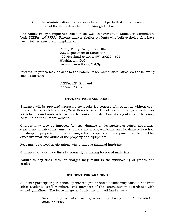B. the administration of any survey by a third party that contains one or more of the items described in A through H above.

The Family Policy Compliance Office in the U.S. Department of Education administers both FERPA and PPRA. Parents and/or eligible students who believe their rights have been violated may file a complaint with:

> Family Policy Compliance Office U.S. Department of Education 400 Maryland Avenue, SW 20202-4605 Washington, D.C. www.ed.gov/offices/OM/fpco

Informal inquiries may be sent to the Family Policy Compliance Office via the following email addresses:

> FERPA@ED.Gov; and [PPRA@ED.Gov](mailto:PPRA@ED.Gov).

#### STUDENT FEES AND FINES

Students will be provided necessary textbooks for courses of instruction without cost. In accordance with State law, West Branch Local School District charges specific fees for activities and materials used in the course of instruction. A copy of specific fees may be found on the District Website.

Charges may also be imposed for loss, damage or destruction of school apparatus, equipment, musical instruments, library materials, textbooks and for damage to school buildings or property. Students using school property and equipment can be fined for excessive wear and abuse of the property and equipment.

Fees may be waived in situations where there is financial hardship.

Students can avoid late fines by promptly returning borrowed materials.

Failure to pay fines, fees, or charges may result in the withholding of grades and credits.

#### STUDENT FUND-RAISING

Students participating in school-sponsored groups and activities may solicit funds from other students, staff members, and members of the community in accordance with school guidelines. The following general rules apply to all fund-raisers:

> Crowdfunding activities are governed by Policy and Administrative Guideline 6605.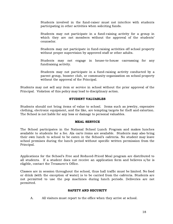Students involved in the fund-raiser must not interfere with students participating in other activities when soliciting funds.

Students may not participate in a fund-raising activity for a group in which they are not members without the approval of the students' counselor.

Students may not participate in fund-raising activities off school property without proper supervision by approved staff or other adults.

Students may not engage in house-to-house canvassing for any fundraising activity.

Students may not participate in a fund-raising activity conducted by a parent group, booster club, or community organization on school property without the approval of the Principal.

Students may not sell any item or service in school without the prior approval of the Principal. Violation of this policy may lead to disciplinary action.

#### STUDENT VALUABLES

Students should not bring items of value to school. Items such as jewelry, expensive clothing, electronic equipment, and the like, are tempting targets for theft and extortion. The School is not liable for any loss or damage to personal valuables.

#### MEAL SERVICE

The School participates in the National School Lunch Program and makes lunches available to students for a fee. Ala carte items are available. Students may also bring their own lunch to school to be eaten in the School's cafeteria. No student may leave school premises during the lunch period without specific written permission from the Principal.

Applications for the School's Free and Reduced-Priced Meal program are distributed to all students. If a student does not receive an application form and believes s/he is eligible, contact the Treasurer's Office.

Classes are in session throughout the school, thus hall traffic must be limited. No food or drink (with the exception of water) is to be carried from the cafeteria. Students are not permitted to use the pop machines during lunch periods. Deliveries are not permitted.

#### SAFETY AND SECURITY

A. All visitors must report to the office when they arrive at school.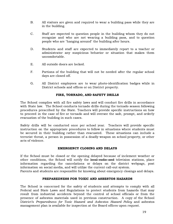- B. All visitors are given and required to wear a building pass while they are in the building.
- C. Staff are expected to question people in the building whom they do not recognize and who are not wearing a building pass, and to question people who are "hanging around" the building after hours.
- D. Students and staff are expected to immediately report to a teacher or administrator any suspicious behavior or situation that makes them uncomfortable.
- E. All outside doors are locked.
- F. Portions of the building that will not be needed after the regular school days are closed off.
- G. All District employees are to wear photo-identification badges while in District schools and offices or on District property.

#### FIRE, TORNADO, AND SAFETY DRILLS

The School complies with all fire safety laws and will conduct fire drills in accordance with State law. The School conducts tornado drills during the tornado season following procedures prescribed by the State. Teachers will provide specific instructions on how to proceed in the case of fire or tornado and will oversee the safe, prompt, and orderly evacuation of the building in such cases.

Safety drills will be conducted once per school year. Teachers will provide specific instruction on the appropriate procedures to follow in situations where students must be secured in their building rather than evacuated. These situations can include a terrorist threat, a person in possession of a deadly weapon on school property, or other acts of violence.

#### EMERGENCY CLOSING AND DELAYS

If the School must be closed or the opening delayed because of inclement weather or other conditions, the School will notify the local radio and television stations, place information regarding the cancelations or delays on the district webpage, post information on social media, and will utilize the current call-out system.

Parents and students are responsible for knowing about emergency closings and delays.

#### PREPAREDNESS FOR TOXIC AND ASBESTOS HAZARDS

The School is concerned for the safety of students and attempts to comply with all Federal and State Laws and Regulations to protect students from hazards that may result from industrial accidents beyond the control of school officials or from the presence of asbestos materials used in previous construction. A copy of the School District's Preparedness for Toxic Hazard and Asbestos Hazard Policy and asbestos management plan is available for inspection at the Board offices upon request.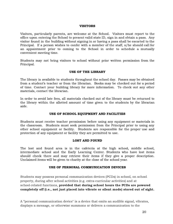#### VISITORS

Visitors, particularly parents, are welcome at the School. Visitors must report to the office upon entering the School to present valid state ID, sign in and obtain a pass. Any visitor found in the building without signing in or having a pass shall be escorted to the Principal. If a person wishes to confer with a member of the staff, s/he should call for an appointment prior to coming to the School in order to schedule a mutually convenient meeting time.

Students may not bring visitors to school without prior written permission from the Principal.

#### USE OF THE LIBRARY

The library is available to students throughout the school day. Passes may be obtained from a student's teacher or from the librarian. Books may be checked out for a period of time. Contact your building library for more information. To check out any other materials, contact the librarian.

In order to avoid late fees, all materials checked out of the library must be returned to the library within the allotted amount of time given to the students by the librarian aide.

#### USE OF SCHOOL EQUIPMENT AND FACILITIES

Students must receive teacher permission before using any equipment or materials in the classroom. Students must seek permission from the Principal prior to using any other school equipment or facility. Students are responsible for the proper use and protection of any equipment or facility they are permitted to use.

#### LOST AND FOUND

The lost and found area is in the cafeteria at the high school, middle school, intermediate school and the Early Learning Center. Students who have lost items should check there and may retrieve their items if they give a proper description. Unclaimed items will be given to charity at the close of the school year.

#### USE OF PERSONAL COMMUNICATION DEVICES

Students may possess personal communication devices (PCDs) in school, on school property, during after school activities (e.g. extra-curricular activities) and at school-related functions, provided that during school hours the PCDs are powered completely off (i.e., not just placed into vibrate or silent mode) stored out of sight.

A "personal communication device" is a device that emits an audible signal, vibrates, displays a message, or otherwise summons or delivers a communication to the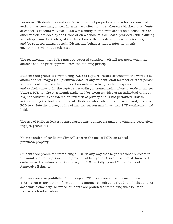possessor. Students may not use PCDs on school property or at a school- sponsored activity to access and/or view Internet web sites that are otherwise blocked to students at school. "Students may use PCDs while riding to and from school on a school bus or other vehicle provided by the Board or on a school bus or Board-provided vehicle during school-sponsored activities, at the discretion of the bus driver, classroom teacher, and/or sponsor/advisor/coach. Distracting behavior that creates an unsafe environment will not be tolerated."

The requirement that PCDs must be powered completely off will not apply when the student obtains prior approval from the building principal.

Students are prohibited from using PCDs to capture, record or transmit the words (i.e. audio) and/or images (i.e., pictures/video) of any student, staff member or other person in the school or while attending a school-related activity, without express prior notice and explicit consent for the capture, recording or transmission of such words or images. Using a PCD to take or transmit audio and/or pictures/video of an individual without his/her consent is considered an invasion of privacy and is not permitted, unless authorized by the building principal. Students who violate this provision and/or use a PCD to violate the privacy rights of another person may have their PCD confiscated and held.

The use of PCDs in locker rooms, classrooms, bathrooms and/or swimming pools (field trips) is prohibited.

No expectation of confidentiality will exist in the use of PCDs on school premises/property.

Students are prohibited from using a PCD in any way that might reasonably create in the mind of another person an impression of being threatened, humiliated, harassed, embarrassed or intimidated. See Policy 5517.01 – Bullying and Other Forms of Aggressive Behavior.

Students are also prohibited from using a PCD to capture and/or transmit test information or any other information in a manner constituting fraud, theft, cheating, or academic dishonesty. Likewise, students are prohibited from using their PCDs to receive such information.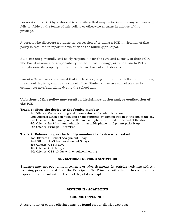Possession of a PCD by a student is a privilege that may be forfeited by any student who fails to abide by the terms of this policy, or otherwise engages in misuse of this privilege.

A person who discovers a student in possession of or using a PCD in violation of this policy is required to report the violation to the building principal.

Students are personally and solely responsible for the care and security of their PCDs. The Board assumes no responsibility for theft, loss, damage, or vandalism to PCDs brought onto its property, or the unauthorized use of such devices.

Parents/Guardians are advised that the best way to get in touch with their child during the school day is by calling the school office. Students may use school phones to contact parents/guardians during the school day.

#### Violations of this policy may result in disciplinary action and/or confiscation of the PCD.

#### Track 1: Gives the device to the faculty member

1st Offense: Verbal warning and phone returned by administration 2nd Offense: lunch detention and phone returned by administration at the end of the day 3rd Offense: Detention, phone call home, and phone returned at the end of the day 4th Offense: In-School and administration holds phone until parent picks it up 5th Offense: Principal Discretion

#### Track 2: Refuses to give the faculty member the device when asked

1st Offense: In-School Assignment 1 day 2nd Offense: In-School Assignment 3 days 3rd Offense: OSS 3 days 4th Offense: OSS 5 days 5th Offense: OSS 10 day with expulsion hearing

#### ADVERTISING OUTSIDE ACTIVITIES

Students may not post announcements or advertisements for outside activities without receiving prior approval from the Principal. The Principal will attempt to respond to a request for approval within 1 school day of its receipt.

#### SECTION II - ACADEMICS

#### COURSE OFFERINGS

A current list of course offerings may be found on our district web page.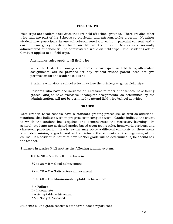#### FIELD TRIPS

Field trips are academic activities that are held off school grounds. There are also other trips that are part of the School's co-curricular and extracurricular program. No minor student may participate in any school-sponsored trip without parental consent and a current emergency medical form on file in the office. Medications normally administered at school will be administered while on field trips. The Student Code of Conduct applies to all field trips.

Attendance rules apply to all field trips.

While the District encourages students to participate in field trips, alternative assignments will be provided for any student whose parent does not give permission for the student to attend.

Students who violate school rules may lose the privilege to go on field trips.

Students who have accumulated an excessive number of absences, have failing grades, and/or have excessive incomplete assignments, as determined by the administration, will not be permitted to attend field trips/school activities.

#### GRADES

West Branch Local schools have a standard grading procedure, as well as additional notations that indicate work in progress or incomplete work. Grades indicate the extent to which the student has acquired and demonstrated the necessary learning. In general, students are assigned grades based upon test results, homework, projects, and classroom participation. Each teacher may place a different emphasis on these areas when determining a grade and will so inform the students at the beginning of the course. If a student is not sure how his/her grade will be determined, s/he should ask the teacher.

Students in grades 3-12 applies the following grading system:

100 to  $90 = A =$  Excellent achievement 89 to  $80 = B = Good$  achievement 79 to  $70 = C =$  Satisfactory achievement 69 to  $60 = D =$  Minimum-Acceptable achievement  $F =$  Failure I = Incomplete P = Acceptable achievement NA = Not yet Assessed

Students K-2nd grade receive a standards-based report card: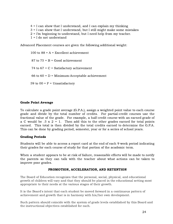$4 = I$  can show that I understand, and I can explain my thinking = I can show that I understand, but I still might make some mistakes = I'm beginning to understand, but I need help from my teacher. = I do not understand

Advanced Placement courses are given the following additional weight:

100 to  $88 = A = Excellent$  achievement  $87$  to  $75 = B = Good$  achievement 74 to  $67 = C =$  Satisfactory achievement 66 to  $60 = D =$  Minimum-Acceptable achievement 59 to  $00 = F =$  Unsatisfactory

#### Grade Point Average

To calculate a grade point average (G.P.A.), assign a weighted point value to each course grade and divide by the total number of credits. For partial-credit courses use the fractional value of the grade. For example, a half credit course with an earned grade of a C would be  $.5 \times 2 = 1$ . Then add this to the other grades earned for total points earned. This total is then divided by the total credits earned to determine the G.P.A. This can be done by grading period, semester, year or for a series of school years.

#### Grading Periods

Students will be able to access a report card at the end of each 9 week period indicating their grades for each course of study for that portion of the academic term.

When a student appears to be at risk of failure, reasonable efforts will be made to notify the parents so they can talk with the teacher about what actions can be taken to improve poor grades.

#### PROMOTION, ACCELERATION, AND RETENTION

The Board of Education recognizes that the personal, social, physical, and educational growth of children will vary and that they should be placed in the educational setting most appropriate to their needs at the various stages of their growth.

It is the Board's intent that each student be moved forward in a continuous pattern of achievement and growth that is in harmony with his/her own development.

Such pattern should coincide with the system of grade levels established by this Board and the instructional objectives established for each.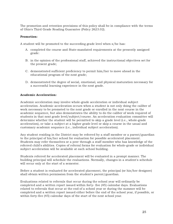The promotion and retention provisions of this policy shall be in compliance with the terms of Ohio's Third Grade Reading Guarantee (Policy 2623.02).

#### Promotion:

A student will be promoted to the succeeding grade level when s/he has:

- A. completed the course and State-mandated requirements at the presently assigned grade:
- B. in the opinion of the professional staff, achieved the instructional objectives set for the present grade;
- C. demonstrated sufficient proficiency to permit him/her to move ahead in the educational program of the next grade;
- D. demonstrated the degree of social, emotional, and physical maturation necessary for a successful learning experience in the next grade.

#### Academic Acceleration:

Academic acceleration may involve whole-grade acceleration or individual subject acceleration. Academic acceleration occurs when a student is not only doing the caliber of work necessary to be promoted to the next grade or enrolled in the next course in the academic sequence, but also demonstrates the ability to do the caliber of work required of students in that next grade level/subject/course. An acceleration evaluation committee will determine whether the student will be permitted to skip a grade level (i.e., whole-grade acceleration), or take a subject at a higher grade level or skip a course in the usual and customary academic sequence (i.e., individual subject acceleration).

Any student residing in the District may be referred by a staff member or a parent/guardian to the principal of his/her school for evaluation for possible accelerated placement. Students may refer themselves or a peer through a staff member who has knowledge of the referred child's abilities. Copies of referral forms for evaluation for whole-grade or individual subject acceleration will be available at each school building.

Students referred for accelerated placement will be evaluated in a prompt manner. The building principal will schedule the evaluations. Normally, changes in a student's schedule will occur only at the start of a semester.

Before a student is evaluated for accelerated placement, the principal (or his/her designee) shall obtain written permission from the student's parent/guardian.

Evaluations related to referrals that occur during the school year will ordinarily be completed and a written report issued within forty- five (45) calendar days. Evaluations related to referrals that occur at the end of a school year or during the summer will be completed and a written report issued either before the end of the school year, if possible, or within forty-five (45) calendar days of the start of the next school year.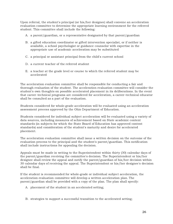Upon referral, the student's principal (or his/her designee) shall convene an acceleration evaluation committee to determine the appropriate learning environment for the referred student. This committee shall include the following:

- A. a parent/guardian, or a representative designated by that parent/guardian
- B. a gifted education coordinator or gifted intervention specialist, or if neither is available, a school psychologist or guidance counselor with expertise in the appropriate use of academic acceleration may be substituted
- C. a principal or assistant principal from the child's current school
- D. a current teacher of the referred student
- E. a teacher at the grade level or course to which the referred student may be accelerated

The acceleration evaluation committee shall be responsible for conducting a fair and thorough evaluation of the student. The acceleration evaluation committee will consider the student's own thoughts on possible accelerated placement in its deliberations. In the event that career-technical programs are considered for acceleration, a career-technical educator shall be consulted as a part of the evaluation.

Students considered for whole-grade acceleration will be evaluated using an acceleration assessment process approved by the Ohio Department of Education.

Students considered for individual subject acceleration will be evaluated using a variety of data sources, including measures of achievement based on State academic content standards (in subjects for which the State Board of Education has approved content standards) and consideration of the student's maturity and desire for accelerated placement.

The acceleration evaluation committee shall issue a written decision on the outcome of the evaluation process to the principal and the student's parent/guardian. This notification shall include instructions for appealing the decision.

Appeals must be made in writing to the Superintendent within thirty (30) calendar days of the parent/guardian receiving the committee's decision. The Superintendent or his/her designee shall review the appeal and notify the parent/guardian of his/her decision within 30 calendar days of receiving the appeal. The Superintendent or his/her designee's decision shall be final.

If the student is recommended for whole-grade or individual subject acceleration, the acceleration evaluation committee will develop a written acceleration plan. The parent/guardian shall be provided with a copy of the plan. The plan shall specify:

- A. placement of the student in an accelerated setting;
- B. strategies to support a successful transition to the accelerated setting;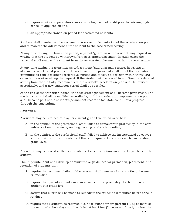- C. requirements and procedures for earning high school credit prior to entering high school (if applicable); and,
- D. an appropriate transition period for accelerated students.

A school staff member will be assigned to oversee implementation of the acceleration plan and to monitor the adjustment of the student to the accelerated setting.

At any time during the transition period, a parent/guardian of the student may request in writing that the student be withdrawn from accelerated placement. In such cases the principal shall remove the student from the accelerated placement without repercussions.

At any time during the transition period, a parent/guardian may request in writing an alternative accelerated placement. In such cases, the principal shall direct the evaluation committee to consider other accelerative options and to issue a decision within thirty (30) calendar days of receiving the request. If the student will be placed in a different accelerated setting from that initially recommended, the student's acceleration plan shall be revised accordingly, and a new transition period shall be specified.

At the end of the transition period, the accelerated placement shall become permanent. The student's record shall be modified accordingly, and the acceleration implementation plan shall become part of the student's permanent record to facilitate continuous progress through the curriculum.

#### Retention:

A student may be retained at his/her current grade level when s/he has:

- A. in the opinion of the professional staff, failed to demonstrate proficiency in the core subjects of math, science, reading, writing, and social studies;
- B. in the opinion of the professional staff, failed to achieve the instructional objectives set forth at the current grade level that are requisite for success at the succeeding grade level.

A student may be placed at the next grade level when retention would no longer benefit the student.

The Superintendent shall develop administrative guidelines for promotion, placement, and retention of students that:

- A. require the recommendation of the relevant staff members for promotion, placement, or retention;
- B. require that parents are informed in advance of the possibility of retention of a student at a grade level;
- C. assure that efforts will be made to remediate the student's difficulties before s/he is retained;
- D. require that a student be retained if s/he is truant for ten percent (10%) or more of the required school days and has failed at least two (2) courses of study, unless the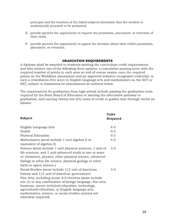principal and the teachers of the failed subjects determine that the student is academically prepared to be promoted;

- E. provide parents the opportunity to request the promotion, placement, or retention of their child;
- F. provide parents the opportunity to appeal the decision about their child's promotion, placement, or retention.

#### GRADUATION REQUIREMENTS

A diploma shall be awarded to students meeting the curriculum credit requirements and who achieve one of the following three options: a cumulative passing score with the required number of points in each area on end of course exams, earn the required points on the WorkKeys assessment and an approved industry-recognized credential, or earn a remediation-free score in English language arts and mathematics on the ACT or SAT, subject to limitations on assessments as outlined below.

The requirements for graduation from high school include passing the graduation tests required by the State Board of Education or meeting the alternative pathway to graduation, and earning twenty-one (21) units of credit in grades nine through twelve as follows:

|                                                            | <b>Units</b> |
|------------------------------------------------------------|--------------|
| <b>Subject</b>                                             | Required     |
|                                                            |              |
| English Language Arts                                      | 4.0          |
| Health                                                     | 0.5          |
| Physical Education                                         | 0.5          |
| Mathematics (must include 1 unit algebra II or             | 4.0          |
| equivalent of algebra II)                                  |              |
| Science (must include 1 unit physical sciences, 1 unit of  | 3.0          |
| life sciences, and 1 unit advanced study in one or more    |              |
| of: chemistry, physics, other physical science, advanced   |              |
| biology or other life science, physical geology or other   |              |
| earth or space science.)                                   |              |
| Social Studies (must include 1/2 unit of American          | 3.0          |
| history and 1/2 unit of American government)               |              |
| Fine Arts, including music 6.0 electives (must include     |              |
| one (1) or any combination of foreign language, fine arts, |              |
| business, career-technical education, technology,          |              |
| agricultural education, or English language arts,          |              |
| mathematics, science, or social studies courses not        |              |
| otherwise required)                                        |              |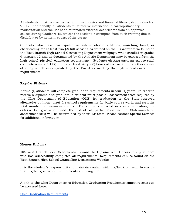All students must receive instruction in economics and financial literacy during Grades 9 – 12. Additionally, all students must receive instruction in cardiopulmonary resuscitation and the use of an automated external defibrillator from an approved source during Grades 9-12, unless the student is exempted from such training due to disability or by written request of the parent.

Students who have participated in interscholastic athletics, marching band, or cheerleading for at least two (2) full seasons as defined on the PE Waiver form found on the West Branch High School Counseling Department webpage, while enrolled in grades 9 through 12 and as documented by the Athletic Department may be excused from the high school physical education requirement. Students electing such an excuse shall complete one-half (1/2) unit of at least sixty (60) hours of instruction in another course of study which is designated by the Board as meeting the high school curriculum requirements.

#### Regular Diploma

Normally, students will complete graduation requirements in four (4) years. In order to receive a diploma and graduate, a student must pass all assessment tests required by the Ohio Department of Education (ODE) for graduation or the State-approved alternative pathway, meet the school requirements for basic course-work, and earn the total number of minimum credits. For students enrolled in special education, the criteria for graduation and the extent of participation in the State-mandated assessment tests will be determined by their IEP team. Please contact Special Services for additional information.

#### Honors Diploma

The West Branch Local Schools shall award the Diploma with Honors to any student who has successfully completed all requirements. Requirements can be found on the West Branch High School Counseling Department Website.

It is the student's responsibility to maintain contact with his/her Counselor to ensure that his/her graduation requirements are being met.

A link to the Ohio Department of Education Graduation Requirements(most recent) can be accessed here:

Ohio Graduation [Requirements](http://education.ohio.gov/Topics/Ohio-s-Graduation-Requirements/Earning-an-Ohio-High-School-Diploma-for-the-Cl-2)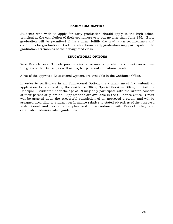#### EARLY GRADUATION

Students who wish to apply for early graduation should apply to the high school principal at the completion of their sophomore year but no later than June 15th. Early graduation will be permitted if the student fulfills the graduation requirements and conditions for graduation. Students who choose early graduation may participate in the graduation ceremonies of their designated class.

#### EDUCATIONAL OPTIONS

West Branch Local Schools provide alternative means by which a student can achieve the goals of the District, as well as his/her personal educational goals.

A list of the approved Educational Options are available in the Guidance Office.

In order to participate in an Educational Option, the student must first submit an application for approval by the Guidance Office, Special Services Office, or Building Principal. Students under the age of 18 may only participate with the written consent of their parent or guardian. Applications are available in the Guidance Office. Credit will be granted upon the successful completion of an approved program and will be assigned according to student performance relative to stated objectives of the approved instructional and performance plan and in accordance with District policy and established administrative guidelines.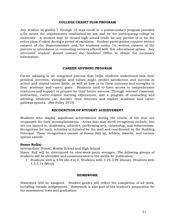#### COLLEGE CREDIT PLUS PROGRAM

Any student in grades 7 through 12 may enroll in a postsecondary program provided s/he meets the requirements established by law and by the participating college or university. A student may be denied high school credit for any portion of or for the entire class if taken during a period of expulsion. Student participation requires written consent of the Superintendent and, for students under 18, written consent of the parents or attendance in counseling services offered with this educational option. Any interested student should contact the Guidance Office to obtain the necessary information.

#### CAREER ADVISING PROGRAM

Career advising is an integrated process that helps students understand how their personal interests, strengths and values might predict satisfaction and success in school and related career fields, as well as how to tie these interests and strengths to their academic and career goals. Students need to have access to comprehensive resources and support to prepare for their future success. Through relevant classroom instruction, career-related learning experiences, and a program of counseling and advising, students can discover their interests and explore academic and career pathway options. (See Policy 2413)

#### RECOGNITION OF STUDENT ACHIEVEMENT

Students who display significant achievements during the course of the year are recognized for their accomplishments. Areas that may merit recognition include, but are not limited to, academics, athletics, performing arts, citizenship, and volunteerism. Recognition for such activities is initiated by the staff and coordinated by the Building Principal. These recognitions consist of Honor Roll (s), Athletic Awards, and various special awards.

#### Honor Roll(s)

Intermediate School, Middle School and High School

Honor Roll will be determined by nine-week point averages. The following groups of students will be identified and communicated to the media for publication:

1. Students with a 4.00 (All-A's) 2. Students with 3.75-3.99 (Honor). Students with 3.5-3.74 (Merit)

#### HOMEWORK

Homework will be assigned. Student grades will reflect the completion of all work, including outside assignments. Homework is also part of the student's preparation for the assessment tests and graduation.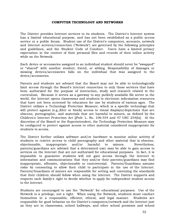#### COMPUTER TECHNOLOGY AND NETWORKS

The District provides Internet services to its students. The District's Internet system has a limited educational purpose, and has not been established as a public access service or a public forum. Student use of the District's computers, accounts, network and Internet services/connection ("Network") are governed by the following principles and guidelines, and the Student Code of Conduct. Users have a limited privacy expectation in the content of their personal files and records of their online activity while on the Network.

Each device or accessories assigned to an individual student should never be "swapped" or "shared" with another student, friend, or sibling. Responsibility of damages or missing devices/accessories falls on the individual that was assigned to the device/accessories.

Parents and students are advised that the Board may not be able to technologically limit access through the Board's Internet connection to only those services that have been authorized for the purpose of instruction, study and research related to the curriculum. Because it serves as a gateway to any publicly available file server in the world, the Internet opens classrooms and students to electronic information resources that have not been screened by educators for use by students of various ages. The District utilizes a Technology Protection Measure, which is a specific technology that will protect against (e.g.,filter or block) access to visual displays/depictions that are obscene, pornographic, and materials that are harmful to minors, as defined by the Children's Internet Protection Act [(Pub. L. No. 106-554 and 47 USC 254(h)]. At the discretion of the Board or the Superintendent, the Technology Protection Measure may be configured to protect against access to other material considered inappropriate for students to access.

The District further utilizes software and/or hardware to monitor online activity of students to restrict access to child pornography and other material that is obscene, objectionable, inappropriate and/or harmful to minors. Nevertheless, parents/guardians are advised that a determined user may be able to gain access to services on the Internet that are not authorized for educational purposes. In fact, it is impossible to guarantee students will not gain access through the Internet to information and communications that they and/or their parents/guardians may find inappropriate, offensive, objectionable or controversial. Parents/Guardians assume risks by consenting to allow their child to participate in the use of the Internet. Parents/Guardians of minors are responsible for setting and conveying the standards that their children should follow when using the Internet. The District supports and respects each family's right to decide whether to apply for independent student access to the Internet.

Students are encouraged to use the "Network" for educational purposes. Use of the Network is a privilege, not a right. When using the Network, students must conduct themselves in a responsible, efficient, ethical, and legal manner. Students are responsible for good behavior on the District's computers/network and the Internet just as they are in classrooms, school hallways, and other school premises and school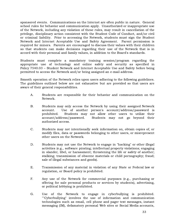sponsored events. Communications on the Internet are often public in nature. General school rules for behavior and communication apply. Unauthorized or inappropriate use of the Network, including any violation of these rules, may result in cancellation of the privilege, disciplinary action consistent with the Student Code of Conduct, and/or civil or criminal liability. Prior to accessing the Network, students must sign the Student Network and Internet Acceptable Use and Safety Agreement. Parent permission is required for minors. Parents are encouraged to discuss their values with their children so that students can make decisions regarding their use of the Network that is in accord with their personal and family values, in addition to the Board's standards.

Students must complete a mandatory training session/program regarding the appropriate use of technology and online safety and security as specified in Policy 7540.03 – Student Network and Internet Acceptable Use and Safety before being permitted to access the Network and/or being assigned an e-mail address.

Smooth operation of the Network relies upon users adhering to the following guidelines. The guidelines outlined below are not exhaustive but are provided so that users are aware of their general responsibilities.

- A. Students are responsible for their behavior and communication on the Network.
- B. Students may only access the Network by using their assigned Network account. Use of another person's account/address/password is prohibited. Students may not allow other users to utilize their account/address/password. Students may not go beyond their authorized access.
- C. Students may not intentionally seek information on, obtain copies of, or modify files, data or passwords belonging to other users, or misrepresent other users on the Network.
- D. Students may not use the Network to engage in "hacking" or other illegal activities (e.g., software pirating; intellectual property violations; engaging in slander, libel, or harassment; threatening the life or safety of another; stalking; transmission of obscene materials or child pornography; fraud; sale of illegal substances and goods).
- E. Transmission of any material in violation of any State or Federal law or regulation, or Board policy is prohibited.
- F. Any use of the Network for commercial purposes (e.g., purchasing or offering for sale personal products or services by students), advertising, or political lobbying is prohibited.
- G. Use of the Network to engage in cyberbullying is prohibited. ""Cyberbullying" involves the use of information and communication technologies such as email, cell phone and pager text messages, instant messaging (IM), defamatory personal Web sites or Social Media accounts,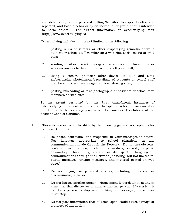and defamatory online personal polling Websites, to support deliberate, repeated, and hostile behavior by an individual or group, that is intended to harm others." For further information on cyberbullying, visit http://www.cyberbullying.ca

Cyberbullying includes, but is not limited to the following:

- 1. posting slurs or rumors or other disparaging remarks about a student or school staff member on a web site, social media or on a blog;
- 2. sending email or instant messages that are mean or threatening, or so numerous as to drive up the victim's cell phone bill;
- 3. using a camera phone(or other device) to take and send embarrassing photographs/recordings of students or school staff members or post these images on video sharing sites;
- 4. posting misleading or fake photographs of students or school staff members on web sites.

To the extent permitted by the First Amendment, instances of cyberbullying off school grounds that disrupt the school environment or interfere with the learning process will be considered violations of the Student Code of Conduct.

- H. Students are expected to abide by the following generally-accepted rules of network etiquette:
	- 1. Be polite, courteous, and respectful in your messages to others. Use language appropriate to school situations in any communications made through the Network. Do not use obscene, profane, lewd, vulgar, rude, inflammatory, sexually explicit, defamatory, threatening, abusive or disrespectful language in communications through the Network (including, but not limited to, public messages, private messages, and material posted on web pages).
	- 2. Do not engage in personal attacks, including prejudicial or discriminatory attacks.
	- 3. Do not harass another person. Harassment is persistently acting in a manner that distresses or annoys another person. If a student is told by a person to stop sending him/her messages, the student must stop.
	- 4. Do not post information that, if acted upon, could cause damage or a danger of disruption.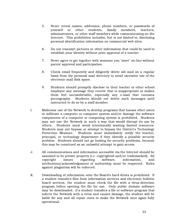- 5. Never reveal names, addresses, phone numbers, or passwords of yourself or other students, family members, teachers, administrators, or other staff members while communicating on the Internet. This prohibition includes, but is not limited to, disclosing personal identification information on commercial web sites.
- 6. Do not transmit pictures or other information that could be used to establish your identity without prior approval of a teacher.
- 7. Never agree to get together with someone you "meet" on-line without parent approval and participation.
- 8. Check email frequently and diligently delete old mail on a regular basis from the personal mail directory to avoid excessive use of the electronic mail disk space.
- 9. Students should promptly disclose to their teacher or other school employee any message they receive that is inappropriate or makes them feel uncomfortable, especially any e-mail that contains pornography. Students should not delete such messages until instructed to do so by a staff member.
- I. Malicious use of the Network to develop programs that harass other users or infiltrate a computer or computer system and/or damage the software components of a computer or computing system is prohibited. Students may not use the Network in such a way that would disrupt its use by others. Students must avoid intentionally wasting limited resources. Students may not bypass or attempt to bypass the District's Technology Protection Measure. Students must immediately notify the teacher, principal, or technology department if they identify a possible security problem. Students should not go looking for security problems, because this may be construed as an unlawful attempt to gain access.
- J. All communications and information accessible via the Internet should be assumed to be private property (i.e. copyrighted and/or trademarked). All copyright issues regarding software, information, and attributions/acknowledgement of authorship must be respected. Rules against plagiarism will be enforced.
- K. Downloading of information onto the Board's hard drives is prohibited. If a student transfers files from information services and electronic bulletin board services, the student must check the file with a virus-detection program before opening the file for use. Only public domain software may be downloaded. If a student transfers a file or software program that infects the Network with a virus and causes damage, the student will be liable for any and all repair costs to make the Network once again fully operational.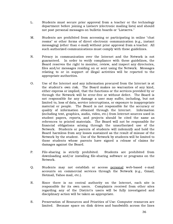- L. Students must secure prior approval from a teacher or the technology department before joining a Listserv (electronic mailing lists) and should not post personal messages on bulletin boards or "Listservs."
- M. Students are prohibited from accessing or participating in online "chat rooms" or other forms of direct electronic communication (e.g., instant messaging) (other than e-mail) without prior approval from a teacher. All such authorized communications must comply with these guidelines.
- N. Privacy in communication over the Internet and the Network is not guaranteed. In order to verify compliance with these guidelines, the Board reserves the right to monitor, review, and inspect any directories, files and/or messages residing on or sent using the Network. Messages relating to or in support of illegal activities will be reported to the appropriate authorities.
- O. Use of the Internet and any information procured from the Internet is at the student's own risk. The Board makes no warranties of any kind, either express or implied, that the functions or the services provided by or through the Network will be error-free or without defect. The Board is not responsible for any damage a user may suffer, including, but not limited to, loss of data, service interruptions, or exposure to inappropriate material or people. The Board is not responsible for the accuracy or quality of information obtained through the Internet. Information (including text, graphics, audio, video, etc.) from Internet sources used in student papers, reports, and projects should be cited the same as references to printed materials. The Board will not be responsible for financial obligations arising through the unauthorized use of the Network. Students or parents of students will indemnify and hold the Board harmless from any losses sustained as the result of misuse of the Network by the student. Use of the Network by students will be limited to those students whose parents have signed a release of claims for damages against the Board.
- P. File-sharing is strictly prohibited. Students are prohibited from downloading and/or installing file-sharing software or programs on the Network.
- Q. Students may not establish or access personal web-based e-mail accounts on commercial services through the Network (e.g., Gmail, Hotmail, Yahoo mail, etc.).
- R. Since there is no central authority on the Internet, each site is responsible for its own users. Complaints received from other sites regarding any of the District's users will be fully investigated and disciplinary action will be taken as appropriate.
- S. Preservation of Resources and Priorities of Use: Computer resources are limited. Because space on disk drives and bandwidth across the lines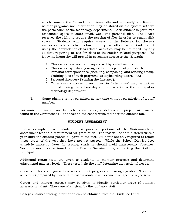which connect the Network (both internally and externally) are limited, neither programs nor information may be stored on the system without the permission of the technology department. Each student is permitted reasonable space to store email, web, and personal files. The Board reserves the right to require the purging of files in order to regain disk space. Students who require access to the Network for class-or instruction related activities have priority over other users. Students not using the Network for class-related activities may be "bumped" by any student requiring access for class-or instruction related purposes. The following hierarchy will prevail in governing access to the Network:

- 1. Class work, assigned and supervised by a staff member.
- 2. Class work, specifically assigned but independently conducted.
- 3. Personal correspondence (checking, composing, and sending email).
- 4. Training (use of such programs as keyboarding tutors, etc.)
- 5. Personal discovery ("surfing the Internet").
- 6. Other uses access to resources for "other uses" may be further limited during the school day at the discretion of the principal or technology department.
- T. Game playing is not permitted at any time without permission of a staff member.

For more information on chromebook insurance, guidelines and proper care can be found in the Chromebook Handbook on the school website under the student tab.

#### STUDENT ASSESSMENT

Unless exempted, each student must pass all portions of the State-mandated assessment test as a requirement for graduation. The test will be administered twice a year until the student passes all parts of the test. Students are only required to retake those parts of the test they have not yet passed. While the School District does schedule make-up dates for testing, students should avoid unnecessary absences. Testing dates may be found on the District Website or by contacting the Building Principal.

Additional group tests are given to students to monitor progress and determine educational mastery levels. These tests help the staff determine instructional needs.

Classroom tests are given to assess student progress and assign grades. These are selected or prepared by teachers to assess student achievement on specific objectives.

Career and interest surveys may be given to identify particular areas of student interests or talent. These are often given by the guidance staff.

College entrance testing information can be obtained from the Guidance Office.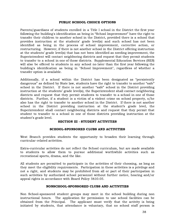#### PUBLIC SCHOOL CHOICE OPTIONS

Parents/guardians of students enrolled in a Title I school in the District the first year following the building's identification as being in "School Improvement" have the right to transfer their children to another school in the District, provided there is a school that provides instruction at the students' grade level(s) and such school has not been identified as being in the process of school improvement, corrective action, or restructuring. However, if there is not another school in the District offering instruction at the students' grade level(s) that has not been identified as needing improvement, the Superintendent will contact neighboring districts and request that they permit students to transfer to a school in one of those districts. Supplemental Education Services (SES) will also be offered to students in any school no later than the first year following the building's identification as being in "School Improvement", regardless of whether a transfer option is available.

Additionally, if a school within the District has been designated as "persistently dangerous" as defined by State law, students have the right to transfer to another "safe" school in the District. If there is not another "safe" school in the District providing instruction at the students' grade level(s), the Superintendent shall contact neighboring districts and request that they permit students to transfer to a school in one of those districts. Further, if a student is a victim of a violent crime on school property, s/he also has the right to transfer to another school in the District. If there is not another school in the District providing instruction at the student's grade level, the Superintendent shall contact neighboring districts and request that they permit that student to transfer to a school in one of those districts providing instruction at the student's grade level.

#### SECTION III - STUDENT ACTIVITIES

#### SCHOOL-SPONSORED CLUBS AND ACTIVITIES

West Branch provides students the opportunity to broaden their learning through curricular-related activities.

Extra-curricular activities do not reflect the School curriculum, but are made available to students to allow them to pursue additional worthwhile activities such as recreational sports, drama, and the like.

All students are permitted to participate in the activities of their choosing, as long as they meet the eligibility requirements. Participation in these activities is a privilege and not a right, and students may be prohibited from all or part of their participation in such activities by authorized school personnel without further notice, hearing and/or appeal rights in accordance with Board Policy 5610.05.

#### NONSCHOOL-SPONSORED CLUBS AND ACTIVITIES

Non School-sponsored student groups may meet in the school building during non instructional hours. The application for permission to use school facilities can be obtained from the Principal. The applicant must verify that the activity is being initiated by students, that attendance is voluntary, that no school staff person is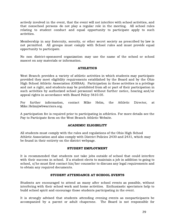actively involved in the event, that the event will not interfere with school activities, and that nonschool persons do not play a regular role in the meeting. All school rules relating to student conduct and equal opportunity to participate apply to such activities.

Membership in any fraternity, sorority, or other secret society as prescribed by law is not permitted. All groups must comply with School rules and must provide equal opportunity to participate.

No non district-sponsored organization may use the name of the school or school mascot on any materials or information.

#### ATHLETICS

West Branch provides a variety of athletic activities in which students may participate provided they meet eligibility requirements established by the Board and by the Ohio High School Athletic Association (OHSAA). Participation in these activities is a privilege and not a right, and students may be prohibited from all or part of their participation in such activities by authorized school personnel without further notice, hearing and/or appeal rights in accordance with Board Policy 5610.05.

For further information, contact Mike Helm, the Athletic Director, at Mike.Helm@wbwarriors.org.

A participation fee is required prior to participating in athletics. For more details see the Pay to Participate form on the West Branch Athletic Website.

#### ACADEMIC ELIGIBILITY

All students must comply with the rules and regulations of the Ohio High School Athletic Association and also comply with District Policies 2430 and 2431, which may be found in their entirety on the district webpage.

#### STUDENT EMPLOYMENT

It is recommended that students not take jobs outside of school that could interfere with their success in school. If a student elects to maintain a job in addition to going to school, s/he must first contact his/her counselor to discuss any legal requirements and to obtain any required documents.

#### STUDENT ATTENDANCE AT SCHOOL EVENTS

Students are encouraged to attend as many after school events as possible, without interfering with their school work and home activities. Enthusiastic spectators help to build school spirit and encourage those students participating in the event.

It is strongly advised that students attending evening events as nonparticipants be accompanied by a parent or adult chaperone. The Board is not responsible for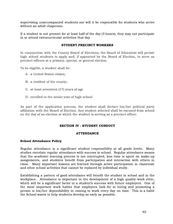supervising unaccompanied students nor will it be responsible for students who arrive without an adult chaperone.

If a student is not present for at least half of the day (3 hours), they may not participate in or attend extracurricular activities that day.

#### STUDENT PRECINCT WORKERS

In conjunction with the County Board of Elections, the Board of Education will permit high school students to apply and, if appointed by the Board of Election, to serve as precinct officers at a primary, special, or general election.

To be eligible, a student shall be:

- A. a United States citizen;
- B. a resident of the county;
- C. at least seventeen (17) years of age
- D. enrolled in the senior year of high school

As part of the application process, the student shall declare his/her political party affiliation with the Board of Election. Any student selected shall be excused from school on the day of an election at which the student is serving as a precinct officer.

#### SECTION IV - STUDENT CONDUCT

#### ATTENDANCE

#### School Attendance Policy

Regular attendance is a significant student responsibility at all grade levels. Many studies correlate regular attendance with success in school. Regular attendance means that the academic learning process is not interrupted, less time is spent on make-up assignments, and students benefit from participation and interaction with others in class. Many important lessons are learned through active participation in classroom and other school activities that cannot be replaced by individual study.

Establishing a pattern of good attendance will benefit the student in school and in the workplace. Attendance is important in the development of a high quality work ethic, which will be a significant factor in a student's success with future employers. One of the most important work habits that employers look for in hiring and promoting a person is his/her dependability in coming to work every day on time. This is a habit the School wants to help students develop as early as possible.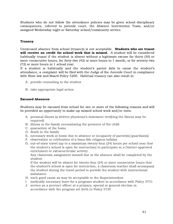Students who do not follow the attendance policies may be given school disciplinary consequences, referred to juvenile court, the Absence Intervention Team, and/or assigned Wednesday night or Saturday school/community service.

#### Truancy

Unexcused absence from school (truancy) is not acceptable. **Students who are truant** will receive no credit for school work that is missed. A student will be considered habitually truant if the student is absent without a legitimate excuse for thirty (30) or more consecutive hours, for forty-two (42) or more hours in 1 month, or for seventy-two (72) or more hours in 1 school year.

If a student is habitually and the student's parent fails to cause the student's attendance, a complaint will be filed with the Judge of the Juvenile Court in compliance with State law and Board Policy 5200. Habitual truancy can also result in:

- A. provide counseling to the student
- B. take appropriate legal action

#### Excused Absences

Students may be excused from school for one or more of the following reasons and will be provided an opportunity to make-up missed school work and/or tests:

- A. personal illness (a written physician's statement verifying the illness may be required)
- B. illness in the family necessitating the presence of the child
- C. quarantine of the home
- D. death in the family
- E. necessary work at home due to absence or incapacity of parent(s)/guardian(s)
- F. observation or celebration of a bona fide religious holiday
- G. out-of-state travel (up to a maximum twenty-four (24) hours per school year that the student's school is open for instruction) to participate in a District-approved enrichment or extracurricular activity

Any classroom assignment missed due to the absence shall be completed by the student.

If the student will be absent for twenty-four (24) or more consecutive hours that the student's school is open for instruction, a classroom teacher shall accompany the student during the travel period to provide the student with instructional assistance.

- H. such good cause as may be acceptable to the Superintendent
- I. medically necessary leave for a pregnant student in accordance with Policy 5751
- J. service as a precinct officer at a primary, special or general election in accordance with the program set forth in Policy 5725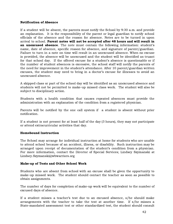#### Notification of Absence

If a student will be absent, the parents must notify the School by 9:30 a.m. and provide an explanation. It is the responsibility of the parent or legal guardian to notify school officials of the absence and the reason for absence. Notes are to be turned in upon arrival to school. Parent notes will not be accepted after 48 hours and will result in an unexcused absence. The note must contain the following information: student's name, date of absence, specific reason for absence, and signature of parent/guardian. Failure to turn in a note on time will result in an unexcused absence. When no excuse is provided, the absence will be unexcused and the student will be identified as truant for that school day. If the offered excuse for a student's absence is questionable or if the number of student absences is excessive, the school staff will notify the parents of the need for improvement in the student's attendance. After 10 parent/guardian written excuses, the student may need to bring in a doctor's excuse for illnesses to avoid an unexcused absence.

A skipped class or part of the school day will be identified as an unexcused absence and students will not be permitted to make-up missed class work. The student will also be subject to disciplinary action.

Students with a health condition that causes repeated absences must provide the administration with an explanation of the condition from a registered physician.

Parents will be notified by the one call system if a student is absent without prior notification.

If a student is not present for at least half of the day (3 hours), they may not participate or attend extracurricular activities that day.

#### Homebound Instruction

The School may arrange for individual instruction at home for students who are unable to attend school because of an accident, illness, or disability. Such instruction may be arranged upon receipt of documentation of the student's condition from a physician. For more information, contact the Director of Special Services; Lindsey Szymanski at Lindsey.Szymansk[i@wbwarriors.org](mailto:Micki.Egli@wbwarriors.org)

#### Make-up of Tests and Other School Work

Students who are absent from school with an excuse shall be given the opportunity to make-up missed work. The student should contact the teacher as soon as possible to obtain assignments.

The number of days for completion of make-up work will be equivalent to the number of excused days of absence.

If a student misses a teacher's test due to an excused absence, s/he should make arrangements with the teacher to take the test at another time. If s/he misses a State-mandated assessment test or other standardized test, the student should consult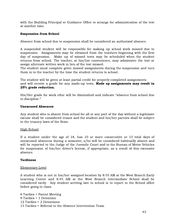with the Building Principal or Guidance Office to arrange for administration of the test at another time.

#### Suspension from School

Absence from school due to suspension shall be considered an authorized absence.

A suspended student will be responsible for making up school work missed due to suspension. Assignments may be obtained from the teachers beginning with the first day of suspension. Make up of missed tests may be scheduled when the student returns from school. The teacher, at his/her convenience, may administer the test or assign alternate written work in lieu of the test missed.

The student must complete given missed assignments during the suspension and turn them in to the teacher by the time the student returns to school.

The student will be given at least partial credit for properly-completed assignments and will receive a grade for any made-up tests. Made up assignments may result in 25% grade reduction.

His/Her grade for work ethic will be diminished and indicate "absence from school due to discipline."

#### Unexcused Absences

Any student who is absent from school for all or any part of the day without a legitimate excuse shall be considered truant and the student and his/her parents shall be subject to the truancy laws of the State.

#### High School

If a student under the age of 18, has 10 or more consecutive or 15 total days of unexcused absences during a semester, s/he will be considered habitually absent and will be reported to the Judge of the Juvenile Court and to the Bureau of Motor Vehicles for suspension of his/her driver's license, if appropriate, as a result of this excessive absence.

#### **Tardiness**

#### Elementary Level

A student who is not in his/her assigned location by 8:55 AM at the West Branch Early Learning Center and 8:45 AM at the West Branch Intermediate School shall be considered tardy. Any student arriving late to school is to report to the School office before going to class.

 Tardies = Parent Meeting Tardies = 1 Detention Tardies = 2 Detentions Tardies = Referral to the Absence Intervention Team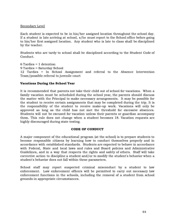#### Secondary Level

Each student is expected to be in his/her assigned location throughout the school day. If a student is late arriving at school, s/he must report to the School office before going to his/her first assigned location. Any student who is late to class shall be disciplined by the teacher.

Students who are tardy to school shall be disciplined according to the Student Code of Conduct.

 Tardies = 1 detention Tardies = Saturday School Tardies = In School Assignment and referral to the Absence Intervention Team/possible referral to juvenile court

#### Vacations During the School Year

It is recommended that parents not take their child out of school for vacations. When a family vacation must be scheduled during the school year, the parents should discuss the matter with the Principal to make necessary arrangements. It may be possible for the student to receive certain assignments that may be completed during the trip. It is the responsibility of the student to receive make-up work. Vacations will only be approved as long as the child has not met the threshold for excessive absences. Students will not be excused for vacation unless their parents or guardian accompany them. This rule does not change when a student becomes 18. Vacation requests are highly discouraged during state testing.

#### CODE OF CONDUCT

A major component of the educational program (at the school) is to prepare students to become responsible citizens by learning how to conduct themselves properly and in accordance with established standards. Students are expected to behave in accordance with Federal, State and local laws and rules and Board policies and Administrative Guidelines, and in a way that respects the rights and safety of others. Staff will take corrective action to discipline a student and/or to modify the student's behavior when a student's behavior does not fall within these parameters.

School staff may report suspected criminal misconduct by a student to law enforcement. Law enforcement officers will be permitted to carry out necessary law enforcement functions in the schools, including the removal of a student from school grounds in appropriate circumstances.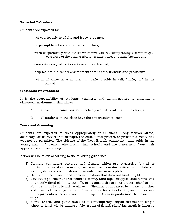#### Expected Behaviors

Students are expected to:

act courteously to adults and fellow students;

be prompt to school and attentive in class;

- work cooperatively with others when involved in accomplishing a common goal regardless of the other's ability, gender, race, or ethnic background;
- complete assigned tasks on time and as directed;
- help maintain a school environment that is safe, friendly, and productive;
- act at all times in a manner that reflects pride in self, family, and in the School.

#### Classroom Environment

It is the responsibility of students, teachers, and administrators to maintain a classroom environment that allows:

- A. a teacher to communicate effectively with all students in the class; and
- B. all students in the class have the opportunity to learn.

#### Dress and Grooming

Students are expected to dress appropriately at all times. Any fashion (dress, accessory, or hairstyle) that disrupts the educational process or presents a safety risk will not be permitted. The citizens of the West Branch community take pride in the young men and women who attend their schools and are concerned about their appearance and well-being.

Action will be taken according to the following guidelines:

- 1) Clothing containing pictures and slogans which are suggestive (stated or implied), provocative, obscene, negative, or contains reference to tobacco, alcohol, drugs or are questionable in nature are unacceptable.
- 2) Hair should be cleaned and worn in a fashion that does not hinder sight.
- 3) Low cut tops, sheer and/or fishnet clothing, tank tops, strapped undershirts and improperly fitted clothing, cut-offs, or pajama attire are not proper school attire. No bare midriff shirts will be allowed. Shoulder straps must be at least 3 inches and cover all undergarments. Holes, rips or tears in clothing may not expose undergarments or be excessive. Holes, rips or tears in pants must be below mid thigh.
- 4) Skirts, shorts, and pants must be of contemporary length; extremes in length (short or long) will be unacceptable. A rule of thumb signifying length is fingertip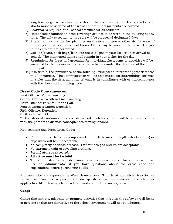length or longer when standing with your hands to your side. Jeans, slacks, and shorts must be secured at the waist so that undergarments are covered.

- 5) Footwear is required at all school activities for all students.
- 6) Hats/hoods/bandanas/ head coverings are not to be worn in the building at any time. The only exception to this rule will be on special designated days.
- 7) Students may not display piercings on the face, tongue or other visible areas of the body during regular school hours. Studs may be worn in the nose. Gauges in the ears are not permitted.
- 8) Jackets/coats/book bags/blankets are to be put in your locker upon arrival at school. The mentioned items shall remain in your locker for the day.
- 9) Regulations for dress and grooming for individual classrooms or activities will be governed by the person in charge of the activities under the direction of the Principal.
- 10)It is within the providence of the building Principal to interpret appropriateness in all instances. The administration will be responsible for determining extremes in styles and the determination of what is in compliance with or noncompliance with the dress and grooming code.

#### Dress Code Consequences:

First Offense: Verbal Warning. Second Offense: Written/Email warning. Third Offense: Parental Phone Call. Fourth Offense: Lunch Detention. Fifth Offense: Detention. Sixth Offense: ISS

\*If the student continues to receive dress code violations, there will be a team meeting with the parents to discuss consequences moving forward.

Homecoming and Prom Dress Code:

- Clothing must be of contemporary length. Extremes in length (short or long) or exposures will be unacceptable.
- No completely backless dresses. Cut out designs and Vs are acceptable.
- No extremely tight or revealing clothing.
- Formal attire is expected.
- **●** All attire must be tasteful.
- The administration will determine what is in compliance for appropriateness. See an administrator if you have questions about the dress code and expectations before purchasing outfits.

Students who are representing West Branch Local Schools at an official function or public event may be required to follow specific dress requirements. Usually, this applies to athletic teams, cheerleaders, bands, and other such groups.

#### Gangs

Gangs that initiate, advocate or promote activities that threaten the safety or well-being of persons or that are disruptive to the school environment will not be tolerated.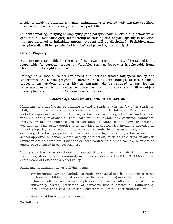Incidents involving initiations, hazing, intimidations or related activities that are likely to cause harm or personal degradation are prohibited.

Students wearing, carrying or displaying gang paraphernalia or exhibiting behaviors or gestures that symbolize gang membership or causing and/or participating in activities that are designed to intimidate another student will be disciplined. Prohibited gang paraphernalia will be specifically identified and posted by the principal.

#### Care of Property

Students are responsible for the care of their own personal property. The School is not responsible for personal property. Valuables such as jewelry or irreplaceable items should not be brought to school.

Damage to or loss of school equipment and facilities wastes taxpayers' money and undermines the school program. Therefore, if a student damages or losses school property, the student and/or his/her parents will be required to pay for the replacement or repair. If the damage or loss was intentional, the student will be subject to discipline according to the Student Discipline Code.

#### BULLYING, HARASSMENT, AND INTIMIDATION

Harassment, intimidation, or bullying toward a student, whether by other students, staff, or third parties is strictly prohibited and will not be tolerated. This prohibition includes aggressive behavior, physical, verbal, and psychological abuse, and violence within a dating relationship. The Board will not tolerate any gestures, comments, threats, or actions which cause or threaten to cause bodily harm or personal degradation. This policy applies to all activities in the District, including activities on school property, on a school bus, or while enroute to or from school, and those occurring off school property if the student or employee is at any school-sponsored, school-approved or school-related activity or function, such as field trips or athletic events where students are under the school's control, in a school vehicle, or where an employee is engaged in school business.

This policy has been developed in consultation with parents, District employees, volunteers, students, and community members as prescribed in R.C. 3313.666 and the State Board of Education's Model Policy.

Harassment, intimidation, or bullying means:

- A. any intentional written, verbal, electronic, or physical act that a student or group of students exhibits toward another particular student(s) more than once and the behavior both causes mental or physical harm to the other student(s) and is sufficiently severe, persistent, or pervasive that it creates an intimidating, threatening, or abusive educational environment for the other student(s); or
- B. violence within a dating relationship.

#### Definitions: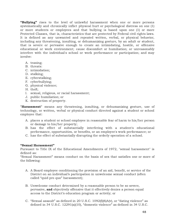"Bullying" rises to the level of unlawful harassment when one or more persons systematically and chronically inflict physical hurt or psychological distress on one (1) or more students or employees and that bullying is based upon one (1) or more Protected Classes, that is, characteristics that are protected by Federal civil rights laws. It is defined as any unwanted and repeated written, verbal, or physical behavior, including any threatening, insulting, or dehumanizing gesture, by an adult or student, that is severe or pervasive enough to create an intimidating, hostile, or offensive educational or work environment; cause discomfort or humiliation; or unreasonably interfere with the individual's school or work performance or participation; and may involve:

- A. teasing;
- B. threats:
- C. intimidation;
- D. stalking;
- E. cyberstalking;
- F. cyberbullying;
- G. physical violence;
- H. theft;
- I. sexual, religious, or racial harassment;
- J. public humiliation; or
- K. destruction of property.

"Harassment" means any threatening, insulting, or dehumanizing gesture, use of technology, or written, verbal or physical conduct directed against a student or school employee that:

- A. places a student or school employee in reasonable fear of harm to his/her person or damage to his/her property;
- B. has the effect of substantially interfering with a student's educational performance, opportunities, or benefits, or an employee's work performance; or
- C. has the effect of substantially disrupting the orderly operation of a school.

#### "Sexual Harassment"

Pursuant to Title IX of the Educational Amendments of 1972, "sexual harassment" is defined as:

"Sexual Harassment" means conduct on the basis of sex that satisfies one or more of the following:

- A. A Board employee conditioning the provision of an aid, benefit, or service of the District on an individual's participation in unwelcome sexual conduct (often called "quid pro quo" harassment);
- B. Unwelcome conduct determined by a reasonable person to be so severe, pervasive, and objectively offensive that it effectively denies a person equal access to the District's education program or activity; or
- C. "Sexual assault" as defined in 20 U.S.C. 1092 $(f|6)A(v)$ , or "dating violence" as defined in 34 U.S.C. 12291(a)(10), "domestic violence" as defined in 34 U.S.C.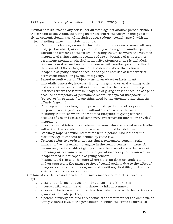12291(a)(8), or "stalking" as defined in 34 U.S.C. 12291(a)(30).

"Sexual assault" means any sexual act directed against another person, without the consent of the victim, including instances where the victim is incapable of giving consent. Sexual assault includes rape, sodomy, sexual assault with an object, fondling, incest, and statutory rape.

- a. Rape is penetration, no matter how slight, of the vagina or anus with any body part or object, or oral penetration by a sex organ of another person, without the consent of the victim, including instances where the victim is incapable of giving consent because of age or because of temporary or permanent mental or physical incapacity. Attempted rape is included.
- b. Sodomy is oral or anal sexual intercourse with another person, without the consent of the victim, including instances where the victim is incapable of giving consent because of age or because of temporary or permanent mental or physical incapacity.
- c. Sexual Assault with an Object is using an object or instrument to unlawfully penetrate, however slightly, the genital or anal opening of the body of another person, without the consent of the victim, including instances where the victim is incapable of giving consent because of age or because of temporary or permanent mental or physical incapacity. An "object" or "instrument" is anything used by the offender other than the offender's genitalia.
- d. Fondling is the touching of the private body parts of another person for the purpose of sexual gratification, without the consent of the victim, including instances where the victim is incapable of giving consent because of age or because of temporary or permanent mental or physical incapacity.
- e. Incest is sexual intercourse between persons who are related to each other within the degrees wherein marriage is prohibited by State law.
- f. Statutory Rape is sexual intercourse with a person who is under the statutory age of consent as defined by State law.
- g. Consent refers to words or actions that a reasonable person would understand as agreement to engage in the sexual conduct at issue. A person may be incapable of giving consent because of age or because of temporary or permanent mental or physical incapacity. A person who is incapacitated is not capable of giving consent.
- h. Incapacitated refers to the state where a person does not understand and/or appreciate the nature or fact of sexual activity due to the effect of drugs or alcohol consumption, medical condition, disability, or due to a state of unconsciousness or sleep.
- D. "Domestic violence" includes felony or misdemeanor crimes of violence committed by:
	- a. a current or former spouse or intimate partner of the victim;
	- b. a person with whom the victim shares a child in common;
	- c. a person who is cohabitating with or has cohabitated with the victim as a spouse or intimate partner;
	- d. a person similarly situated to a spouse of the victim under the domestic or family violence laws of the jurisdiction in which the crime occurred; or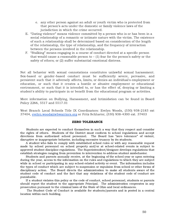- e. any other person against an adult or youth victim who is protected from that person's acts under the domestic or family violence laws of the jurisdiction in which the crime occurred.
- E. "Dating violence" means violence committed by a person who is or has been in a social relationship of a romantic or intimate nature with the victim. The existence of such a relationship shall be determined based on consideration of the length of the relationship, the type of relationship, and the frequency of interaction between the persons involved in the relationship.
- F. "Stalking" means engaging in a course of conduct directed at a specific person that would cause a reasonable person to  $- (1)$  fear for the person's safety or the safety of others; or (2) suffer substantial emotional distress.

Not all behavior with sexual connotations constitutes unlawful sexual harassment. Sex-based or gender-based conduct must be sufficiently severe, pervasive, and persistent such that it adversely affects, limits, or denies an individual's employment or education, or such that it creates a hostile or abusive employment or educational environment, or such that it is intended to, or has the effect of, denying or limiting a student's ability to participate in or benefit from the educational program or activities.

More information on Bullying, Harassment, and Intimidation can be found in Board Policy 2266, 5517 and 5517.01

West Branch Local Schools Title IX Coordinators: Evelyn Woods, (330) 938-2183 ext 37404, [evelyn.woods@wbwarriors.org](mailto:evelyn.woods@wbwarriors.org) or Fritz Schlueter, (330) 938-4300 ext. 37403

#### ZERO TOLERANCE

Students are expected to conduct themselves in such a way that they respect and consider the rights of others. Students of the District must conform to school regulations and accept directions from authorized school personnel. The Board has "zero tolerance" of violent, disruptive or inappropriate behavior, including excessive truancy by its students.

A student who fails to comply with established school rules or with any reasonable request made by school personnel on school property and/or at school-related events is subject to approved student discipline regulations. The Superintendent/designee develops regulations that establish strategies ranging from prevention to intervention to address student misbehavior.

Students and parents annually receive, at the beginning of the school year or upon entering during the year, access to the information on the rules and regulations to which they are subject while in school or participating in any school-related activity or event. The information includes the types of conduct which are subject to suspension or expulsion from school or other forms of disciplinary action. The Board directs the administration to make all students aware of the student code of conduct and the fact that any violations of the student code of conduct are punishable.

If a student violates this policy or the code of conduct, school personnel, students or parents should report the student to the appropriate Principal. The administration cooperates in any prosecution pursuant to the criminal laws of the State of Ohio and local ordinances.

The Student Code of Conduct is available for students/parents and is posted in a central location within each building.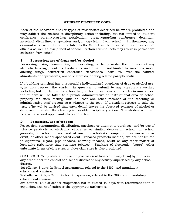#### STUDENT DISCIPLINE CODE

Each of the behaviors and/or types of misconduct described below are prohibited and may subject the student to disciplinary action including, but not limited to, student conference, parent/guardian notification, parent/guardian conference, detention, in-school discipline, suspension and/or expulsion from school. Furthermore, any criminal acts committed at or related to the School will be reported to law enforcement officials as well as disciplined at school. Certain criminal acts may result in permanent exclusion from school.

#### 1. Possession/use of drugs and/or alcohol

Possessing, using, transmitting or concealing, or being under the influence of any alcoholic beverage, controlled substance including, but not limited to, narcotics, mood altering drugs, counterfeit controlled substances, lookalikes, over the counter stimulants or depressants, anabolic steroids, or drug related paraphernalia.

If a building principal has a reasonable individualized suspicion of drug or alcohol use, s/he may request the student in question to submit to any appropriate testing, including but not limited to, a breathalyzer test or urinalysis. In such circumstances, the student will be taken to a private administrative or instructional area on school property for such testing with at least one other member of the teaching or administrative staff present as a witness to the test. If a student refuses to take the test, s/he will be advised that such denial leaves the observed evidence of alcohol or drug use unrefuted thus leading to possible disciplinary action. The student will then be given a second opportunity to take the test.

#### 2. Possession/use of tobacco

Possession, consumption, distribution, purchase or attempt to purchase, and/or use of tobacco products or electronic cigarettes or similar devices in school, on school grounds, on school buses, and at any interscholastic competition, extra-curricular event, or other school sponsored event. Tobacco products include, but are not limited to cigarettes, cigars, pipe tobacco, chewing tobacco, snuff or any other matter or look-alike substance that contains tobacco. Smoking of electronic, "vapor", other substitute forms of cigarettes, or clove cigarettes is also prohibited.

O.R.C. 3313.751 prohibits the use or possession of tobacco (in any form) by pupils in any area under the control of a school district or any activity supervised by any school district.

1st offense: 3 days In-School Assignment, referral to the SRO, and mandatory educational seminar.

2nd offense: 3 days Out of School Suspension, referral to the SRO, and mandatory educational seminar.

3rd offense: Out of school suspension not to exceed 10 days with recommendation of expulsion, and notification to the appropriate authorities.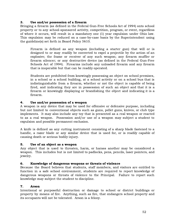#### 3. Use and/or possession of a firearm

Bringing a firearm (as defined in the Federal Gun-Free Schools Act of 1994) onto school property or to any school-sponsored activity, competition, program, or event, regardless of where it occurs, will result in a mandatory one (1) year expulsion under Ohio law. This expulsion may be reduced on a case-by-case basis by the Superintendent using the guideline(s) set forth in Board Policy 5610.

Firearm is defined as any weapon (including a starter gun) that will or is designed to or may readily be converted to expel a projectile by the action of an explosive; the frame or receiver of any such weapon; any firearm muffler or firearm silencer; or any destructive device (as defined in the Federal Gun-Free Schools Act of 1994). Firearms include any unloaded firearm and any firearm that is inoperable but that can be readily operated.

Students are prohibited from knowingly possessing an object on school premises, in a school or a school building, at a school activity or on a school bus that is indistinguishable from a firearm, whether or not the object is capable of being fired, and indicating they are in possession of such an object and that it is a firearm or knowingly displaying or brandishing the object and indicating it is a firearm.

#### 4. Use and/or possession of a weapon

A weapon is any device that may be used for offensive or defensive purpose, including but not limited to conventional objects such as guns, pellet guns, knives, or club type implements. It may also include any toy that is presented as a real weapon or reacted to as a real weapon. Possession and/or use of a weapon may subject a student to expulsion and possible permanent exclusion.

A knife is defined as any cutting instrument consisting of a sharp blade fastened to a handle, a razor blade or any similar device that is used for, or is readily capable of causing death or serious bodily injury.

#### 5. Use of an object as a weapon

Any object that is used to threaten, harm, or harass another may be considered a weapon. This includes but is not limited to padlocks, pens, pencils, laser pointers, and jewelry.

#### 6. Knowledge of dangerous weapons or threats of violence

Because the Board believes that students, staff members, and visitors are entitled to function in a safe school environment, students are required to report knowledge of dangerous weapons or threats of violence to the Principal. Failure to report such knowledge may subject the student to discipline.

#### 7. Arson

Intentional or purposeful destruction or damage to school or district buildings or property by means of fire. Anything, such as fire, that endangers school property and its occupants will not be tolerated. Arson is a felony.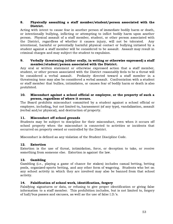#### 8. Physically assaulting a staff member/student/person associated with the District.

Acting with intent to cause fear in another person of immediate bodily harm or death, or intentionally bullying, inflicting or attempting to inflict bodily harm upon another person. Physical assault of a staff member, student, or other person associated with the District, regardless of whether it causes injury, will not be tolerated. Any intentional, harmful or potentially harmful physical contact or bullying initiated by a student against a staff member will be considered to be assault. Assault may result in criminal charges and may subject the student to expulsion.

#### 9. Verbally threatening (either orally, in writing or otherwise expressed) a staff member/student/person associated with the District.

Any oral or written statement or otherwise expressed action that a staff member, student, or other person associated with the District reasonably feels to be a threat will be considered a verbal assault. Profanity directed toward a staff member in a threatening tone may also be considered a verbal assault. Confrontation with a student or staff member that bullies, intimidates, or causes fear of bodily harm or death is also prohibited.

#### 10. Misconduct against a school official or employee, or the property of such a person, regardless of where it occurs.

The Board prohibits misconduct committed by a student against a school official or employee, including, but not limited to, harassment (of any type), vandalization, assault (verbal and/or physical), and destruction of property.

#### 11. Misconduct off school grounds

Students may be subject to discipline for their misconduct, even when it occurs off school property when the misconduct is connected to activities or incidents that occurred on property owned or controlled by the District.

Misconduct is defined as any violation of the Student Discipline Code.

#### 12. Extortion

Extortion is the use of threat, intimidation, force, or deception to take, or receive something from someone else. Extortion is against the law.

#### 13. Gambling

Gambling (i.e., playing a game of chance for stakes) includes casual betting, betting pools, organized-sports betting, and any other form of wagering. Students who bet on any school activity in which they are involved may also be banned from that school activity.

#### 14. Falsification of school work, identification, forgery

Falsifying signatures or data, or refusing to give proper identification or giving false information to a staff member. This prohibition includes, but is not limited to, forgery of hall/bus passes and excuses, as well as the use of false I.D.'s.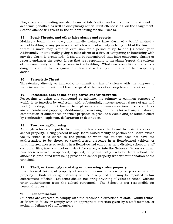Plagiarism and cheating are also forms of falsification and will subject the student to academic penalties as well as disciplinary action. First offense is a 0 on the assignment. Second offense will result in the student failing for the 9 weeks.

#### 15. Bomb Threats, and other false alarms and reports

Making a bomb threat (i.e., intentionally giving a false alarm of a bomb) against a school building or any premises at which a school activity is being held at the time the threat is made may result in expulsion for a period of up to one (1) school year. Additionally, intentionally giving a false alarm of a fire, or tampering or interfering with any fire alarm is prohibited. It should be remembered that false emergency alarms or reports endanger the safety forces that are responding to the alarm/report, the citizens of the community, and the persons in the building. What may seem like a prank, is a dangerous stunt that is against the law and will subject the student to disciplinary action.

#### 16. Terroristic Threat

Threatening, directly or indirectly, to commit a crime of violence with the purpose to terrorize another or with reckless disregard of the risk of causing terror in another.

#### 17. Possession and/or use of explosives and/or fireworks

Possessing or using any compound or mixture, the primary or common purpose of which is to function by explosion, with substantially instantaneous release of gas and heat (including, but not limited to explosives and chemical-reaction objects such as smoke bombs and poppers). Additionally, possessing or offering for sale any substance, combination of substances or article prepared to produce a visible and/or audible effect by combustion, explosion, deflagration or detonation.

#### 18. Trespassing/Loitering

Although schools are public facilities, the law allows the Board to restrict access to school property. Being present in any Board-owned facility or portion of a Board-owned facility when it is closed to the public or when the student does not have the authorization to be there, or unauthorized presence in a Boardowned vehicle; or unauthorized access or activity in a Board-owned computer, into district, school or staff computer files, into a school or district file server, or into the Network. When a student has been removed, suspended, expelled, or permanently excluded from school, the student is prohibited from being present on school property without authorization of the principal.

#### 19. Theft, or knowingly receiving or possessing stolen property

Unauthorized taking of property of another person or receiving or possessing such property. Students caught stealing will be disciplined and may be reported to law enforcement officials. Students should not bring anything of value to school without prior authorization from the school personnel. The School is not responsible for personal property.

#### 20. Insubordination

Students are expected to comply with the reasonable directions of staff. Willful refusal or failure to follow or comply with an appropriate direction given by a staff member, or acting in defiance of staff members.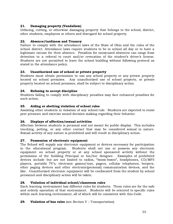#### 21. Damaging property (Vandalism)

Defacing, cutting, or otherwise damaging property that belongs to the school, district, other students, employees or others and disregard for school property.

#### 22. Absence/tardiness and Truancy

Failure to comply with the attendance laws of the State of Ohio and the rules of the school district. Attendance laws require students to be in school all day or to have a legitimate excuse for their absence. Penalties for unexcused absences can range from detention to a referral to court and/or revocation of the student's driver's license. Students are not permitted to leave the school building without following protocol as stated in the attendance policy.

#### 23. Unauthorized use of school or private property

Students must obtain permission to use any school property or any private property located on school premises. Any unauthorized use of school property, or private property located on school premises, shall be subject to disciplinary action.

#### 24. Refusing to accept discipline

Students failing to comply with disciplinary penalties may face enhanced penalties for such action.

#### 25. Aiding or abetting violation of school rules

Assisting other students in violation of any school rule. Students are expected to resist peer pressure and exercise sound decision making regarding their behavior.

#### 26. Displays of affection/sexual activities

Affection between students is personal and not meant for public display. This includes touching, petting, or any other contact that may be considered sexual in nature. Sexual activity of any nature is prohibited and will result in disciplinary action.

#### 27. Possession of electronic equipment

The School will supply any electronic equipment or devices necessary for participation in the educational program. Students shall not use or possess any electronic equipment on school property or at any school sponsored activity without the permission of the building Principal or his/her designee. Examples of prohibited devices include but are not limited to radios, "boom-boxes", headphones, CD/MP3 players, portable TV's, electronic games/toys, pagers, cellular telephones, beepers, other paging devices and other electronic(personal) communication devices, and the like. Unauthorized electronic equipment will be confiscated from the student by school personnel and disciplinary action will be taken.

#### 28. Violation of individual school/classroom rules

Each learning environment has different rules for students. These rules are for the safe and orderly operation of that environment. Students will be oriented to specific rules within each learning environment, all of which will be consistent with this Code.

#### **29.** Violation of bus rules (see Section  $V - T$  ransportation)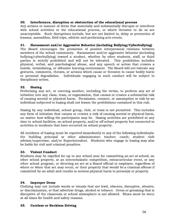#### 30. Interference, disruption or obstruction of the educational process

Any actions or manner of dress that materially and substantially disrupts or interferes with school activities or the educational process, or which threaten to do so are unacceptable. Such disruptions include, but are not limited to, delay or prevention of lessons, assemblies, field trips, athletic and performing arts events.

#### 31. Harassment and/or Aggressive Behavior (including Bullying/Cyberbullying)

The Board encourages the promotion of positive interpersonal relations between members of the school community. Harassment and/or aggressive behavior (including bullying/cyberbullying) toward a student, whether by other students, staff, or third parties is strictly prohibited and will not be tolerated. This prohibition includes physical, verbal, and psychological abuse, and any speech or action that creates a hostile, intimidating, or offensive learning environment. The Board will not tolerate any gestures, comments, threats, or actions which cause or threaten to cause bodily harm or personal degradation. Individuals engaging in such conduct will be subject to disciplinary action.

#### 32. Hazing

Performing any act, or coercing another, including the victim, to perform any act of initiation into any class, team, or organization, that causes or creates a substantial risk of causing mental or physical harm. Permission, consent, or assumption or risk by an individual subjected to hazing shall not lessen the prohibitions contained in this rule.

Hazing by any individual, school group, club, or team is not permitted. This includes any form of initiation that causes or creates a risk of causing mental or physical harm, no matter how willing the participants may be. Hazing activities are prohibited at any time in school facilities, on school property, and/or off school property but connected to activities or incidents that have occurred on school property.

All incidents of hazing must be reported immediately to any of the following individuals: the building principal or other administrator; teacher; coach; student club advisor/supervisor, and/or Superintendent. Students who engage in hazing may also be liable for civil and criminal penalties.

#### 33. Violent Conduct

Students may be expelled for up to one school year for committing an act at school, on other school property, at an interscholastic competition, extracurricular event, or any other school program, or directing an act at a Board official or employee, regardless of where or when that act may occur, or their property that would be a criminal offense if committed by an adult and results in serious physical harm to person(s) or property.

#### 34. Improper Dress

Clothing may not include words or visuals that are lewd, obscene, disruptive, abusive, or discriminatory, or that advertise drugs, alcohol or tobacco. Dress or grooming that is disruptive of the classroom or school atmosphere is not allowed. Shoes must be worn at all times for health and safety reasons.

#### 35. Careless or Reckless Driving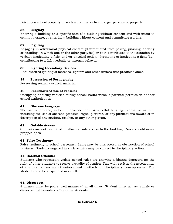Driving on school property in such a manner as to endanger persons or property.

#### 36. Burglary

Entering a building or a specific area of a building without consent and with intent to commit a crime, or entering a building without consent and committing a crime.

#### 37. Fighting

Engaging in adversarial physical contact (differentiated from poking, pushing, shoving or scuffling) in which one or the other party(ies) or both contributed to the situation by verbally instigating a fight and/or physical action. Promoting or instigating a fight (i.e., contributing to a fight verbally or through behavior).

#### 38. Lighting Incendiary Devices

Unauthorized igniting of matches, lighters and other devices that produce flames.

#### 39. Possession of Pornography

Possessing sexually explicit material.

#### 40. Unauthorized use of vehicles

Occupying or using vehicles during school hours without parental permission and/or school authorization.

#### 41. Obscene Language

The use of profane, indecent, obscene, or disrespectful language, verbal or written, including the use of obscene gestures, signs, pictures, or any publications toward or in description of any student, teacher, or any other person.

#### 42. Outside Access

Students are not permitted to allow outside access to the building. Doors should never propped open

#### 43. False Testimony

False testimony to school personnel. Lying may be interpreted as obstruction of school business. Students engaged in such activity may be subject to disciplinary action.

#### 44. Habitual Offender

Students who repeatedly violate school rules are showing a blatant disregard for the right of other students to receive a quality education. This will result in the acceleration of the normal system of enforcement methods or disciplinary consequences. The student could be suspended or expelled.

#### 45. Disrespect

Students must be polite, well mannered at all times. Student must not act rudely or disrespectful towards staff or other students.

#### DISCIPLINE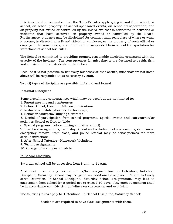It is important to remember that the School's rules apply going to and from school, at school, on school property, at school-sponsored events, on school transportation, and on property not owned or controlled by the Board but that is connected to activities or incidents that have occurred on property owned or controlled by the Board. Furthermore, students may be disciplined for conduct that, regardless of where or when it occurs, is directed at a Board official or employee, or the property of such official or employee. In some cases, a student can be suspended from school transportation for infractions of school bus rules.

The School is committed to providing prompt, reasonable discipline consistent with the severity of the incident. The consequences for misbehavior are designed to be fair, firm and consistent for all students in the School.

Because it is not possible to list every misbehavior that occurs, misbehaviors not listed above will be responded to as necessary by staff.

Two (2) types of discipline are possible, informal and formal.

#### Informal Discipline

Some disciplinary consequences which may be used but are not limited to:

- 1. Parent meeting and conferences
- 2. Before School, Lunch or Afternoon detentions
- 3. Reduced schedule (shortened school days)
- 4. Behavior contracts/Bullying Contracts

5. Denial of participation from school programs, special events and extracurricular activities-School or District Wide

6. Special programs (before, during and after school).

7. In-school assignments, Saturday School and out-of-school suspensions, expulsions, emergency removal from class, and police referral may be consequences for more serious infractions.

8. After-School Tutoring—Homework Violations

- 9. Writing assignments
- 10. Change of seating or schedule

In-School Discipline

Saturday school will be in session from 8 a.m. to 11 a.m.

A student missing any portion of his/her assigned time in Detention, In-School Discipline, Saturday School may be given an additional discipline. Failure to timely serve Detention, In-School Discipline, Saturday School assignment(s) may lead to suspension from school for a period not to exceed 10 days. Any such suspension shall be in accordance with District guidelines on suspension and expulsion.

The following rules apply to Detentions, In-School Discipline, Saturday School:

Students are required to have class assignments with them.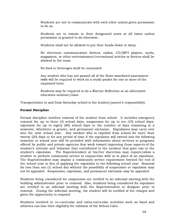Students are not to communicate with each other unless given permission to do so.

Students are to remain in their designated seats at all times unless permission is granted to do otherwise.

Students shall not be allowed to put their heads down or sleep.

No electronic communication devices, radios, CD/MP3 players, cards, magazines, or other entertainment/recreational articles or devices shall be allowed in the room.

No food or beverages shall be consumed.

Any student who has not passed all of the State-mandated assessment tests will be required to work on a study packet for one or more of the unpassed tests.

Students may be required to do a Warrior Reflection or an alternative education seminar/class.

Transportation to and from Saturday school is the student/parent's responsibility.

#### Formal Discipline

Formal discipline involves removal of the student from school. It includes emergency removal for up to three (3) school days, suspension for up to ten (10) school days, expulsion for up to eighty (80) school days or the number of days remaining in a semester, whichever is greater, and permanent exclusion. Expulsions may carry over into the next school year. Any student who is expelled from school for more than twenty (20) days or for any period of time if the expulsion will extend into the following semester or school year will be provided with information about services or programs offered by public and private agencies that work toward improving those aspects of the student's attitude and behavior that contributed to the incident that gave rise to the student's expulsion. The Superintendent at his/her discretion may require/allow a student to perform community service in conjunction with or in place of an expulsion. The Superintendent may impose a community service requirement beyond the end of the school year in lieu of applying the expulsion to the following school year. Removal for less than one (1) school day without the possibility of suspension or expulsion may not be appealed. Suspension, expulsion, and permanent exclusion may be appealed.

Students being considered for suspension are entitled to an informal meeting with the building administrator prior to removal*.* Also, students being considered for expulsion are entitled to an informal meeting with the Superintendent or designee prior to removal. During the informal meeting, the student will be notified of the charges and given the opportunity to respond.

Students involved in co-curricular and extra-curricular activities such as band and athletics can lose their eligibility for violation of the School rules.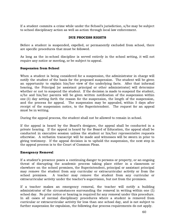If a student commits a crime while under the School's jurisdiction, s/he may be subject to school disciplinary action as well as action through local law enforcement.

#### DUE PROCESS RIGHTS

Before a student is suspended, expelled, or permanently excluded from school, there are specific procedures that must be followed.

As long as the in-school discipline is served entirely in the school setting, it will not require any notice or meeting, or be subject to appeal.

#### Suspension from School

When a student is being considered for a suspension, the administrator in charge will notify the student of the basis for the proposed suspension. The student will be given an opportunity to explain his/her view of the underlying facts. After that informal hearing, the Principal [or assistant principal or other administrator] will determine whether or not to suspend the student. If the decision is made to suspend the student, s/he and his/her parents will be given written notification of the suspension within one (1) day setting forth the reason for the suspension, the length of the suspension, and the process for appeal. The suspension may be appealed, within 5 days after receipt of the suspension notice, to the Superintendent. The request for an appeal must be in writing.

During the appeal process, the student shall not be allowed to remain in school.

If the appeal is heard by the Board's designee, the appeal shall be conducted in a private hearing. If the appeal is heard by the Board of Education, the appeal shall be conducted in executive session unless the student or his/her representative requests otherwise. A verbatim transcript will be made and witnesses will be sworn in prior to giving testimony. If the appeal decision is to uphold the suspension, the next step in the appeal process is to the Court of Common Pleas.

#### Emergency Removal

If a student's presence poses a continuing danger to persons or property, or an ongoing threat of disrupting the academic process taking place either in a classroom or elsewhere on the school premises, the Superintendent, principal or assistant principal may remove the student from any curricular or extracurricular activity or from the school premises. A teacher may remove the student from any curricular or extracurricular activity under the teacher's supervision, but not from the premises.

If a teacher makes an emergency removal, the teacher will notify a building administrator of the circumstances surrounding the removal in writing within one (1) school day. No prior notice or hearing is required for any removal under this procedure. In all cases of normal disciplinary procedures where a student is removed from curricular or extracurricular activity for less than one school day, and is not subject to further suspension for expulsion, the following due process requirements do not apply.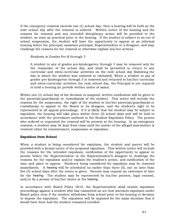If the emergency removal exceeds one (1) school day, then a hearing will be held on the next school day after the removal is ordered. Written notice of the hearing and the reasons for removal and any intended disciplinary action will be provided to the student, as soon as practical prior to the hearing. If the student is subject to an out of school suspension, the student will have the opportunity to appear at an informal hearing before the principal, assistant principal, Superintendent or a designee, and may challenge the reasons for the removal or otherwise explain his/her actions.

Students in Grades Pre-K through 3

A student in any of grades pre-kindergarten through 3 may be removed only for the remainder of the school day, and shall be permitted to return to any curricular and extra-curricular activities on the next school day (following the day in which the student was removed or excluded). When a student in any of grades pre-kindergarten through 3 is removed and returned to his/her curricular and extra-curricular activities the next school day, the Principal is not required to hold a hearing (or provide written notice of same).

Within one (1) school day of the decision to suspend, written notification will be given to the parent(s)/guardian(s) or custodian(s) of the student. This notice will include the reasons for the suspension, the right of the student or his/her parent(s)/guardian(s) or custodian(s) to appeal to the Board or its designee, and the student's right to be represented in all appeal proceedings. If it is likely that the student may be subject to expulsion, the hearing will take place within three (3) school days and will be held in accordance with the procedures outlined in the Student Expulsion Policy. The person who ordered or requested the removal will be present at the hearing. In an emergency removal, a student may be kept from class until the matter of the alleged misconduct is resolved either by reinstatement, suspension or expulsion.

#### Expulsion from School

When a student is being considered for expulsion, the student and parent will be provided with a formal notice of the proposed expulsion. This written notice will include the reasons for the intended expulsion, notification of the opportunity to appear in person before the Superintendent or the Superintendent's designee to challenge the reasons for the expulsion and/or explain the student's action, and notification of the time and place to appear. Students being considered for expulsion may be removed immediately. A hearing will be scheduled no earlier than three (3), nor no later than five (5) school days after the notice is given. Parents may request an extension of time for the hearing. The student may be represented by his/her parents, legal counsel, and/or by a person of his/her choice at the hearing.

In accordance with Board Policy 5610, the Superintendent shall initiate expulsion proceedings against a student who has committed an act that warrants expulsion under Board policy even if the student withdraws from school prior to the hearing or decision to impose the expulsion. The expulsion will be imposed for the same duration that it would have been had the student remained enrolled.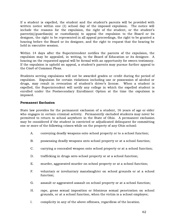If a student is expelled, the student and the student's parents will be provided with written notice within one (1) school day of the imposed expulsion. The notice will include the reasons for the expulsion, the right of the student, or the student's parent(s)/guardian(s) or custodian(s) to appeal the expulsion to the Board or its designee, the right to be represented in all appeal proceedings, the right to be granted a hearing before the Board or its designee, and the right to request that the hearing be held in executive session.

Within 14 days after the Superintendent notifies the parents of the expulsion, the expulsion may be appealed, in writing, to the Board of Education or its designee. A hearing on the requested appeal will be formal with an opportunity for sworn testimony. If the expulsion is upheld on appeal, a student's parents may pursue further appeal to the Court of Common Pleas.

Students serving expulsions will not be awarded grades or credit during the period of expulsion. Expulsion for certain violations including use or possession of alcohol or drugs, may result in revocation of student's driver's license. When a student is expelled, the Superintendent will notify any college in which the expelled student is enrolled under the Postsecondary Enrollment Option at the time the expulsion is imposed.

#### Permanent Exclusion

State law provides for the permanent exclusion of a student, 16 years of age or older who engages in certain criminal activity. Permanently excluded students may never be permitted to return to school anywhere in the State of Ohio. A permanent exclusion may be considered if the student is convicted or adjudicated delinquent for committing one or more of the following crimes while on the property of any Ohio school:

- A. conveying deadly weapons onto school property or to a school function;
- B. possessing deadly weapons onto school property or at a school function;
- C. carrying a concealed weapon onto school property or at a school function;
- D. trafficking in drugs onto school property or at a school function;
- E. murder, aggravated murder on school property or at a school function;
- F. voluntary or involuntary manslaughter on school grounds or at a school function;
- G. assault or aggravated assault on school property or at a school function;
- H. rape, gross sexual imposition or felonious sexual penetration on school grounds, or at a school function, when the victim is a school employee;
- I. complicity in any of the above offenses, regardless of the location.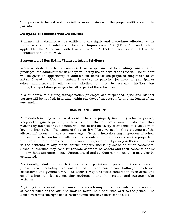This process is formal and may follow an expulsion with the proper notification to the parents.

#### Discipline of Students with Disabilities

Students with disabilities are entitled to the rights and procedures afforded by the Individuals with Disabilities Education Improvement Act (I.D.E.I.A.), and, where applicable, the Americans with Disabilities Act (A.D.A.), and/or Section 504 of the Rehabilitation Act of 1973.

#### Suspension of Bus Riding/Transportation Privileges

When a student is being considered for suspension of bus riding/transportation privileges, the administrator in charge will notify the student of the reason. The student will be given an opportunity to address the basis for the proposed suspension at an informal hearing. After that informal hearing, the principal [or assistant principal or other administrator] will decide whether or not to suspend his/her bus riding/transportation privileges for all or part of the school year.

If a student's bus riding/transportation privileges are suspended, s/he and his/her parents will be notified, in writing within one day, of the reason for and the length of the suspension.

#### SEARCH AND SEIZURE

Administrators may search a student or his/her property (including vehicles, purses, knapsacks, gym bags, etc.) with or without the student's consent, whenever they reasonably suspect that a search will lead to the discovery of evidence of a violation of law or school rules. The extent of the search will be governed by the seriousness of the alleged infraction and the student's age. General housekeeping inspection of school property may be conducted with reasonable notice. Student lockers are the property of the District and students have no reasonable expectation of privacy in their contents or in the contents of any other District property including desks or other containers. School authorities may conduct random searches of lockers and their contents at any time without announcement. Unannounced and random canine searches may also be conducted.

Additionally, students have NO reasonable expectation of privacy in their actions in public areas including but not limited to, common areas, hallways, cafeterias, classrooms and gymnasiums. The District may use video cameras in such areas and on all school vehicles transporting students to and from regular and extracurricular activities.

Anything that is found in the course of a search may be used as evidence of a violation of school rules or the law, and may be taken, held or turned over to the police. The School reserves the right not to return items that have been confiscated.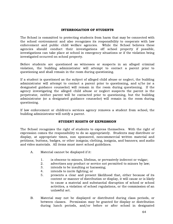#### INTERROGATION OF STUDENTS

The School is committed to protecting students from harm that may be connected with the school environment and also recognizes its responsibility to cooperate with law enforcement and public child welfare agencies. While the School believes these agencies should conduct their investigations off school property if possible, investigations can take place at school in emergency situations or if the violation being investigated occurred on school property.

Before students are questioned as witnesses or suspects in an alleged criminal violation, the building administrator will attempt to contact a parent prior to questioning and shall remain in the room during questioning.

If a student is questioned as the subject of alleged child abuse or neglect, the building administrator will attempt to contact a parent prior to questioning, and s/he (or a designated guidance counselor) will remain in the room during questioning. If the agency investigating the alleged child abuse or neglect suspects the parent is the perpetrator, neither parent will be contacted prior to questioning, but the building administrator (or a designated guidance counselor) will remain in the room during questioning.

If law enforcement or children's services agency removes a student from school, the building administrator will notify a parent.

#### STUDENT RIGHTS OF EXPRESSION

The School recognizes the right of students to express themselves. With the right of expression comes the responsibility to do so appropriately. Students may distribute or display, at appropriate times, non sponsored, noncommercial written material and petitions; buttons, badges, or other insignia; clothing, insignia, and banners; and audio and video materials. All items must meet school guidelines.

- A. Material cannot be displayed if it:
	- 1. is obscene to minors, libelous, or pervasively indecent or vulgar;
	- 2. advertises any product or service not permitted to minors by law;
	- 3. intends to be insulting or harassing;
	- 4. intends to incite fighting; or
	- 5. presents a clear and present likelihood that, either because of its content or manner of distribution or display, it will cause or is likely to cause a material and substantial disruption of school or school activities, a violation of school regulations, or the commission of an unlawful act.
- B. Material may not be displayed or distributed during class periods, or between classes. Permission may be granted for display or distribution during lunch periods, and/or before or after school in designated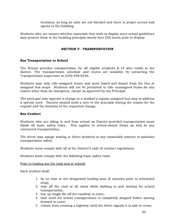locations, as long as exits are not blocked and there is proper access and egress to the building.

Students who are unsure whether materials they wish to display meet school guidelines may present them to the building principal twenty-four (24) hours prior to display.

#### SECTION V - TRANSPORTATION

#### Bus Transportation to School

The School provides transportation for all eligible students K-12 who reside in the district. The transportation schedule and routes are available by contacting the Transportation supervisor at (330) 938-6246.

Students may only ride assigned buses and must board and depart from the bus at assigned bus stops. Students will not be permitted to ride unassigned buses for any reason other than an emergency, except as approved by the Principal.

The principal may approve a change in a student's regular assigned bus stop to address a special need. Parents should send a note to the principal stating the reason for the request and the duration of the requested change.

#### Bus Conduct

Students who are riding to and from school on District-provided transportation must follow all basic safety rules. This applies to school-owned buses as well as any contracted transportation.

The driver may assign seating or direct students in any reasonable manner to maintain transportation safety.

Students must comply with all of the District's code of conduct regulations.

Students must comply with the following basic safety rules:

Prior to loading (on the road and at school)

Each student shall:

- 1. be on time at the designated loading zone (5 minutes prior to scheduled stop);
- 2. stay off the road at all times while walking to and waiting for school transportation;
- 3. line up single file off the roadway to enter;
- 4. wait until the school transportation is completely stopped before moving forward to enter;
- 5. refrain from crossing a highway until the driver signals it is safe to cross;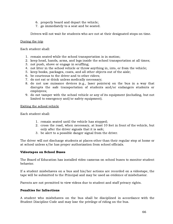- 6. properly board and depart the vehicle;
- 7. go immediately to a seat and be seated.

Drivers will not wait for students who are not at their designated stops on time.

#### During the trip

Each student shall:

- 1. remain seated while the school transportation is in motion;
- 2. keep head, hands, arms, and legs inside the school transportation at all times;
- 3. not push, shove or engage in scuffling;
- 4. not litter in the school vehicle or throw anything in, into, or from the vehicle;
- 5. keep books, packages, coats, and all other objects out of the aisle;
- 6. be courteous to the driver and to other riders;
- 7. do not eat or drink unless medically necessary;
- 8. do not use nuisance devices (e.g., laser pointers) on the bus in a way that disrupts the safe transportation of students and/or endangers students or employees;
- 9. do not tamper with the school vehicle or any of its equipment (including, but not limited to emergency and/or safety equipment).

Exiting the school vehicle

Each student shall:

- 1. remain seated until the vehicle has stopped;
- 2. cross the road, when necessary, at least 10 feet in front of the vehicle, but only after the driver signals that it is safe;
- 3. be alert to a possible danger signal from the driver.

The driver will not discharge students at places other than their regular stop at home or at school unless s/he has proper authorization from school officials.

#### Videotapes on School Buses

The Board of Education has installed video cameras on school buses to monitor student behavior.

If a student misbehaves on a bus and his/her actions are recorded on a videotape, the tape will be submitted to the Principal and may be used as evidence of misbehavior.

Parents are not permitted to view videos due to student and staff privacy rights.

#### Penalties for Infractions

A student who misbehaves on the bus shall be disciplined in accordance with the Student Discipline Code and may lose the privilege of riding on the bus.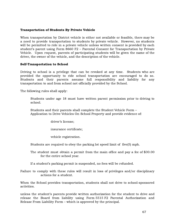#### Transportation of Students By Private Vehicle

When transportation by District vehicle is either not available or feasible, there may be a need to provide transportation to students by private vehicle. However, no students will be permitted to ride in a private vehicle unless written consent is provided by each student's parent using Form 8660 F2 – Parental Consent for Transportation by Private Vehicle. Upon request, parents of participating students will be given the name of the driver, the owner of the vehicle, and the description of the vehicle.

#### Self-Transportation to School

Driving to school is a privilege that can be revoked at any time. Students who are provided the opportunity to ride school transportation are encouraged to do so. Students and their parents assume full responsibility and liability for any transportation to and from school not officially provided by the School.

The following rules shall apply:

Students under age 18 must have written parent permission prior to driving to school.

Students and their parents shall complete the Student Vehicle Form – Application to Drive Vehicles On School Property and provide evidence of:

driver's license;

insurance certificate;

vehicle registration.

Students are required to obey the parking lot speed limit of five(5) mph.

The student must obtain a permit from the main office and pay a fee of \$30.00 for the entire school year.

If a student's parking permit is suspended, no fees will be refunded.

Failure to comply with these rules will result in loss of privileges and/or disciplinary actions for a student.

When the School provides transportation, students shall not drive to school-sponsored activities.

unless the student's parents provide written authorization for the student to drive and release the Board from liability using Form 5515 F2 Parental Authorization and Release From Liability Form – which is approved by the principal.